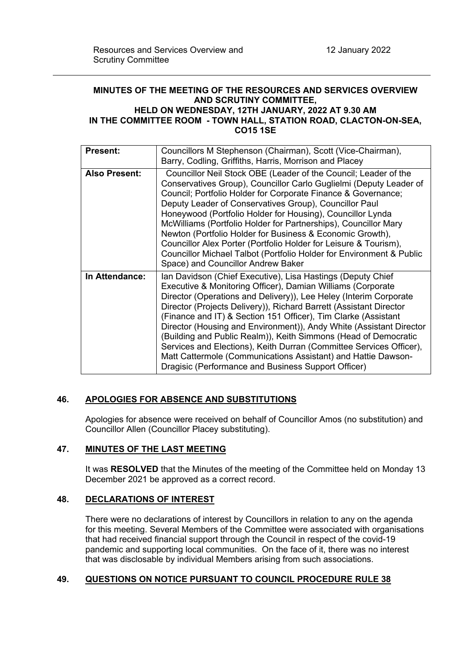# **MINUTES OF THE MEETING OF THE RESOURCES AND SERVICES OVERVIEW AND SCRUTINY COMMITTEE, HELD ON WEDNESDAY, 12TH JANUARY, 2022 AT 9.30 AM**

## **IN THE COMMITTEE ROOM - TOWN HALL, STATION ROAD, CLACTON-ON-SEA, CO15 1SE**

| <b>Present:</b>      | Councillors M Stephenson (Chairman), Scott (Vice-Chairman),<br>Barry, Codling, Griffiths, Harris, Morrison and Placey                                                                                                                                                                                                                                                                                                                                                                                                                                                                                                                                                            |
|----------------------|----------------------------------------------------------------------------------------------------------------------------------------------------------------------------------------------------------------------------------------------------------------------------------------------------------------------------------------------------------------------------------------------------------------------------------------------------------------------------------------------------------------------------------------------------------------------------------------------------------------------------------------------------------------------------------|
| <b>Also Present:</b> | Councillor Neil Stock OBE (Leader of the Council; Leader of the<br>Conservatives Group), Councillor Carlo Guglielmi (Deputy Leader of<br>Council; Portfolio Holder for Corporate Finance & Governance;<br>Deputy Leader of Conservatives Group), Councillor Paul<br>Honeywood (Portfolio Holder for Housing), Councillor Lynda<br>McWilliams (Portfolio Holder for Partnerships), Councillor Mary<br>Newton (Portfolio Holder for Business & Economic Growth),<br>Councillor Alex Porter (Portfolio Holder for Leisure & Tourism),<br>Councillor Michael Talbot (Portfolio Holder for Environment & Public<br>Space) and Councillor Andrew Baker                                 |
| In Attendance:       | Ian Davidson (Chief Executive), Lisa Hastings (Deputy Chief<br>Executive & Monitoring Officer), Damian Williams (Corporate<br>Director (Operations and Delivery)), Lee Heley (Interim Corporate<br>Director (Projects Delivery)), Richard Barrett (Assistant Director<br>(Finance and IT) & Section 151 Officer), Tim Clarke (Assistant<br>Director (Housing and Environment)), Andy White (Assistant Director<br>(Building and Public Realm)), Keith Simmons (Head of Democratic<br>Services and Elections), Keith Durran (Committee Services Officer),<br>Matt Cattermole (Communications Assistant) and Hattie Dawson-<br>Dragisic (Performance and Business Support Officer) |

## **46. APOLOGIES FOR ABSENCE AND SUBSTITUTIONS**

Apologies for absence were received on behalf of Councillor Amos (no substitution) and Councillor Allen (Councillor Placey substituting).

## **47. MINUTES OF THE LAST MEETING**

It was **RESOLVED** that the Minutes of the meeting of the Committee held on Monday 13 December 2021 be approved as a correct record.

#### **48. DECLARATIONS OF INTEREST**

There were no declarations of interest by Councillors in relation to any on the agenda for this meeting. Several Members of the Committee were associated with organisations that had received financial support through the Council in respect of the covid-19 pandemic and supporting local communities. On the face of it, there was no interest that was disclosable by individual Members arising from such associations.

## **49. QUESTIONS ON NOTICE PURSUANT TO COUNCIL PROCEDURE RULE 38**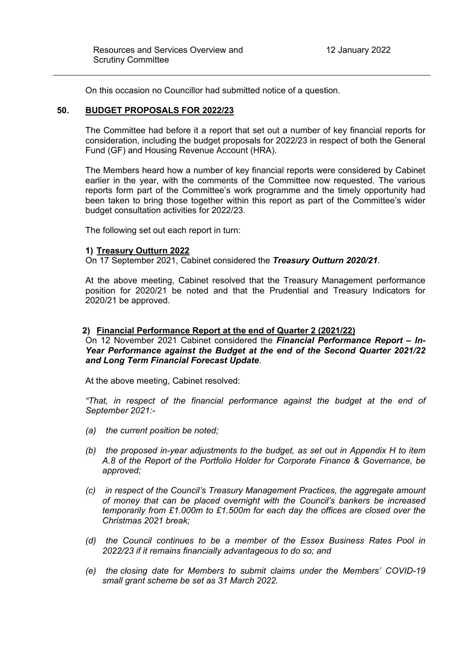On this occasion no Councillor had submitted notice of a question.

## **50. BUDGET PROPOSALS FOR 2022/23**

The Committee had before it a report that set out a number of key financial reports for consideration, including the budget proposals for 2022/23 in respect of both the General Fund (GF) and Housing Revenue Account (HRA).

The Members heard how a number of key financial reports were considered by Cabinet earlier in the year, with the comments of the Committee now requested. The various reports form part of the Committee's work programme and the timely opportunity had been taken to bring those together within this report as part of the Committee's wider budget consultation activities for 2022/23.

The following set out each report in turn:

#### **1) Treasury Outturn 2022**

On 17 September 2021, Cabinet considered the *Treasury Outturn 2020/21*.

At the above meeting, Cabinet resolved that the Treasury Management performance position for 2020/21 be noted and that the Prudential and Treasury Indicators for 2020/21 be approved.

#### **2) Financial Performance Report at the end of Quarter 2 (2021/22)**

On 12 November 2021 Cabinet considered the *Financial Performance Report – In-Year Performance against the Budget at the end of the Second Quarter 2021/22 and Long Term Financial Forecast Update*.

At the above meeting, Cabinet resolved:

*"That, in respect of the financial performance against the budget at the end of September 2021:-*

- *(a) the current position be noted;*
- *(b) the proposed in-year adjustments to the budget, as set out in Appendix H to item A.8 of the Report of the Portfolio Holder for Corporate Finance & Governance, be approved;*
- *(c) in respect of the Council's Treasury Management Practices, the aggregate amount of money that can be placed overnight with the Council's bankers be increased temporarily from £1.000m to £1.500m for each day the offices are closed over the Christmas 2021 break;*
- *(d) the Council continues to be a member of the Essex Business Rates Pool in 2022/23 if it remains financially advantageous to do so; and*
- *(e) the closing date for Members to submit claims under the Members' COVID-19 small grant scheme be set as 31 March 2022.*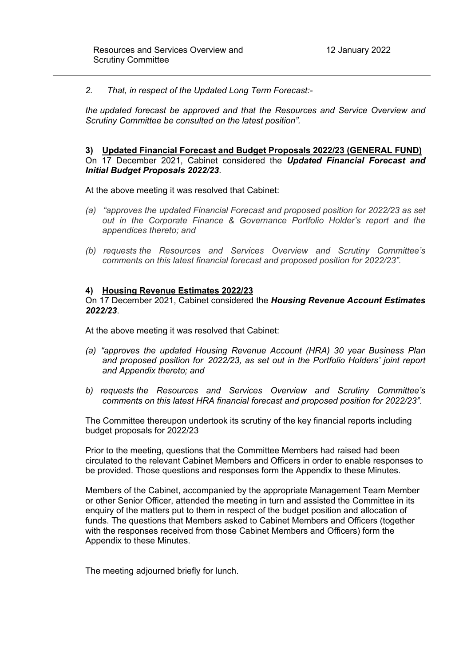*2. That, in respect of the Updated Long Term Forecast:-*

*the updated forecast be approved and that the Resources and Service Overview and Scrutiny Committee be consulted on the latest position".*

#### **3) Updated Financial Forecast and Budget Proposals 2022/23 (GENERAL FUND)** On 17 December 2021, Cabinet considered the *Updated Financial Forecast and Initial Budget Proposals 2022/23*.

At the above meeting it was resolved that Cabinet:

- *(a) "approves the updated Financial Forecast and proposed position for 2022/23 as set out in the Corporate Finance & Governance Portfolio Holder's report and the appendices thereto; and*
- *(b) requests the Resources and Services Overview and Scrutiny Committee's comments on this latest financial forecast and proposed position for 2022/23".*

#### **4) Housing Revenue Estimates 2022/23**

On 17 December 2021, Cabinet considered the *Housing Revenue Account Estimates 2022/23*.

At the above meeting it was resolved that Cabinet:

- *(a) "approves the updated Housing Revenue Account (HRA) 30 year Business Plan and proposed position for 2022/23, as set out in the Portfolio Holders' joint report and Appendix thereto; and*
- *b) requests the Resources and Services Overview and Scrutiny Committee's comments on this latest HRA financial forecast and proposed position for 2022/23".*

The Committee thereupon undertook its scrutiny of the key financial reports including budget proposals for 2022/23

Prior to the meeting, questions that the Committee Members had raised had been circulated to the relevant Cabinet Members and Officers in order to enable responses to be provided. Those questions and responses form the Appendix to these Minutes.

Members of the Cabinet, accompanied by the appropriate Management Team Member or other Senior Officer, attended the meeting in turn and assisted the Committee in its enquiry of the matters put to them in respect of the budget position and allocation of funds. The questions that Members asked to Cabinet Members and Officers (together with the responses received from those Cabinet Members and Officers) form the Appendix to these Minutes.

The meeting adjourned briefly for lunch.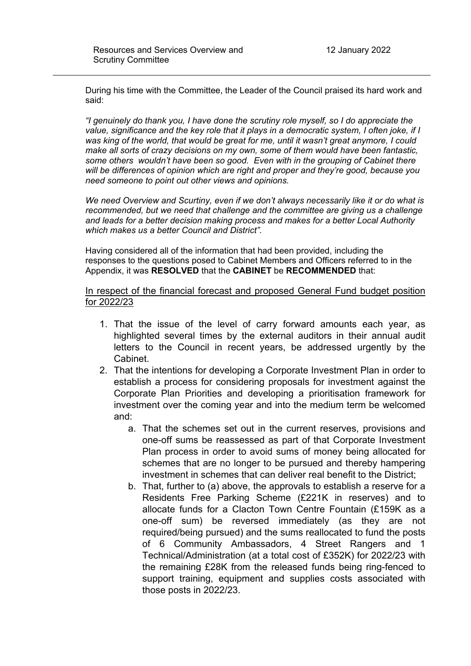During his time with the Committee, the Leader of the Council praised its hard work and said:

*"I genuinely do thank you, I have done the scrutiny role myself, so I do appreciate the value, significance and the key role that it plays in a democratic system, I often joke, if I was king of the world, that would be great for me, until it wasn't great anymore, I could make all sorts of crazy decisions on my own, some of them would have been fantastic, some others wouldn't have been so good. Even with in the grouping of Cabinet there will be differences of opinion which are right and proper and they're good, because you need someone to point out other views and opinions.*

*We need Overview and Scurtiny, even if we don't always necessarily like it or do what is recommended, but we need that challenge and the committee are giving us a challenge and leads for a better decision making process and makes for a better Local Authority which makes us a better Council and District".*

Having considered all of the information that had been provided, including the responses to the questions posed to Cabinet Members and Officers referred to in the Appendix, it was **RESOLVED** that the **CABINET** be **RECOMMENDED** that:

In respect of the financial forecast and proposed General Fund budget position for 2022/23

- 1. That the issue of the level of carry forward amounts each year, as highlighted several times by the external auditors in their annual audit letters to the Council in recent years, be addressed urgently by the Cabinet.
- 2. That the intentions for developing a Corporate Investment Plan in order to establish a process for considering proposals for investment against the Corporate Plan Priorities and developing a prioritisation framework for investment over the coming year and into the medium term be welcomed and:
	- a. That the schemes set out in the current reserves, provisions and one-off sums be reassessed as part of that Corporate Investment Plan process in order to avoid sums of money being allocated for schemes that are no longer to be pursued and thereby hampering investment in schemes that can deliver real benefit to the District;
	- b. That, further to (a) above, the approvals to establish a reserve for a Residents Free Parking Scheme (£221K in reserves) and to allocate funds for a Clacton Town Centre Fountain (£159K as a one-off sum) be reversed immediately (as they are not required/being pursued) and the sums reallocated to fund the posts of 6 Community Ambassadors, 4 Street Rangers and 1 Technical/Administration (at a total cost of £352K) for 2022/23 with the remaining £28K from the released funds being ring-fenced to support training, equipment and supplies costs associated with those posts in 2022/23.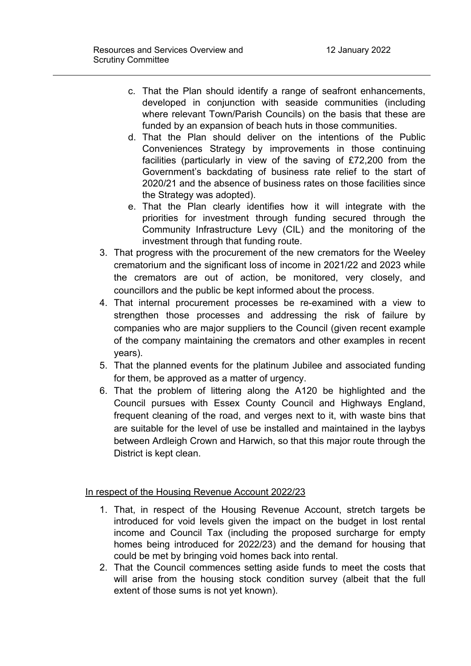- c. That the Plan should identify a range of seafront enhancements, developed in conjunction with seaside communities (including where relevant Town/Parish Councils) on the basis that these are funded by an expansion of beach huts in those communities.
- d. That the Plan should deliver on the intentions of the Public Conveniences Strategy by improvements in those continuing facilities (particularly in view of the saving of £72,200 from the Government's backdating of business rate relief to the start of 2020/21 and the absence of business rates on those facilities since the Strategy was adopted).
- e. That the Plan clearly identifies how it will integrate with the priorities for investment through funding secured through the Community Infrastructure Levy (CIL) and the monitoring of the investment through that funding route.
- 3. That progress with the procurement of the new cremators for the Weeley crematorium and the significant loss of income in 2021/22 and 2023 while the cremators are out of action, be monitored, very closely, and councillors and the public be kept informed about the process.
- 4. That internal procurement processes be re-examined with a view to strengthen those processes and addressing the risk of failure by companies who are major suppliers to the Council (given recent example of the company maintaining the cremators and other examples in recent years).
- 5. That the planned events for the platinum Jubilee and associated funding for them, be approved as a matter of urgency.
- 6. That the problem of littering along the A120 be highlighted and the Council pursues with Essex County Council and Highways England, frequent cleaning of the road, and verges next to it, with waste bins that are suitable for the level of use be installed and maintained in the laybys between Ardleigh Crown and Harwich, so that this major route through the District is kept clean.

# In respect of the Housing Revenue Account 2022/23

- 1. That, in respect of the Housing Revenue Account, stretch targets be introduced for void levels given the impact on the budget in lost rental income and Council Tax (including the proposed surcharge for empty homes being introduced for 2022/23) and the demand for housing that could be met by bringing void homes back into rental.
- 2. That the Council commences setting aside funds to meet the costs that will arise from the housing stock condition survey (albeit that the full extent of those sums is not yet known).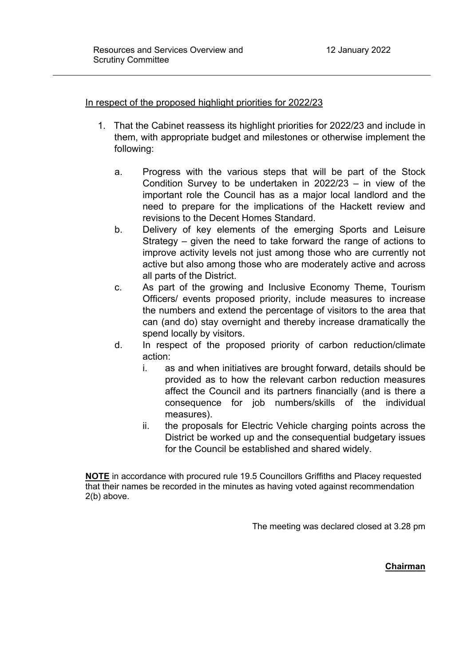In respect of the proposed highlight priorities for 2022/23

- 1. That the Cabinet reassess its highlight priorities for 2022/23 and include in them, with appropriate budget and milestones or otherwise implement the following:
	- a. Progress with the various steps that will be part of the Stock Condition Survey to be undertaken in 2022/23 – in view of the important role the Council has as a major local landlord and the need to prepare for the implications of the Hackett review and revisions to the Decent Homes Standard.
	- b. Delivery of key elements of the emerging Sports and Leisure Strategy – given the need to take forward the range of actions to improve activity levels not just among those who are currently not active but also among those who are moderately active and across all parts of the District.
	- c. As part of the growing and Inclusive Economy Theme, Tourism Officers/ events proposed priority, include measures to increase the numbers and extend the percentage of visitors to the area that can (and do) stay overnight and thereby increase dramatically the spend locally by visitors.
	- d. In respect of the proposed priority of carbon reduction/climate action:
		- i. as and when initiatives are brought forward, details should be provided as to how the relevant carbon reduction measures affect the Council and its partners financially (and is there a consequence for job numbers/skills of the individual measures).
		- ii. the proposals for Electric Vehicle charging points across the District be worked up and the consequential budgetary issues for the Council be established and shared widely.

**NOTE** in accordance with procured rule 19.5 Councillors Griffiths and Placey requested that their names be recorded in the minutes as having voted against recommendation 2(b) above.

The meeting was declared closed at 3.28 pm

**Chairman**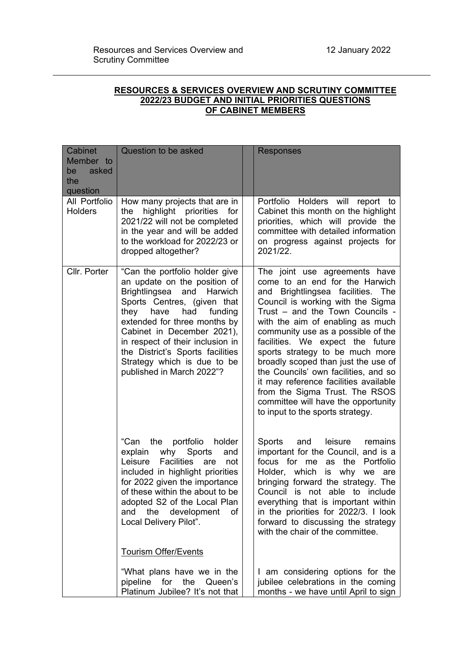## **RESOURCES & SERVICES OVERVIEW AND SCRUTINY COMMITTEE 2022/23 BUDGET AND INITIAL PRIORITIES QUESTIONS OF CABINET MEMBERS**

| <b>Cabinet</b><br>Member to<br>asked<br>be<br>the<br>question | Question to be asked                                                                                                                                                                                                                                                                                                                                                 | <b>Responses</b>                                                                                                                                                                                                                                                                                                                                                                                                                                                                                                                                                      |
|---------------------------------------------------------------|----------------------------------------------------------------------------------------------------------------------------------------------------------------------------------------------------------------------------------------------------------------------------------------------------------------------------------------------------------------------|-----------------------------------------------------------------------------------------------------------------------------------------------------------------------------------------------------------------------------------------------------------------------------------------------------------------------------------------------------------------------------------------------------------------------------------------------------------------------------------------------------------------------------------------------------------------------|
| All Portfolio<br><b>Holders</b>                               | How many projects that are in<br>highlight priorities<br>the<br>for<br>2021/22 will not be completed<br>in the year and will be added<br>to the workload for 2022/23 or<br>dropped altogether?                                                                                                                                                                       | Portfolio Holders will<br>report to<br>Cabinet this month on the highlight<br>priorities, which will provide the<br>committee with detailed information<br>on progress against projects for<br>2021/22.                                                                                                                                                                                                                                                                                                                                                               |
| Cllr. Porter                                                  | "Can the portfolio holder give<br>an update on the position of<br>Brightlingsea<br>and<br>Harwich<br>Sports Centres, (given that<br>they<br>have<br>had<br>funding<br>extended for three months by<br>Cabinet in December 2021),<br>in respect of their inclusion in<br>the District's Sports facilities<br>Strategy which is due to be<br>published in March 2022"? | The joint use agreements have<br>come to an end for the Harwich<br>and Brightlingsea facilities.<br>The<br>Council is working with the Sigma<br>Trust - and the Town Councils -<br>with the aim of enabling as much<br>community use as a possible of the<br>facilities. We expect the future<br>sports strategy to be much more<br>broadly scoped than just the use of<br>the Councils' own facilities, and so<br>it may reference facilities available<br>from the Sigma Trust. The RSOS<br>committee will have the opportunity<br>to input to the sports strategy. |
|                                                               | "Can<br>the portfolio<br>holder<br>why<br>Sports<br>explain<br>and<br><b>Facilities</b><br>Leisure<br>are<br>not<br>included in highlight priorities<br>for 2022 given the importance<br>of these within the about to be<br>adopted S2 of the Local Plan<br>the<br>development<br>οf<br>and<br>Local Delivery Pilot".                                                | Sports<br>and<br>leisure<br>remains<br>important for the Council, and is a<br>focus for me<br>as the<br>Portfolio<br>Holder, which is why we are<br>bringing forward the strategy. The<br>Council is not able to include<br>everything that is important within<br>in the priorities for 2022/3. I look<br>forward to discussing the strategy<br>with the chair of the committee.                                                                                                                                                                                     |
|                                                               | <b>Tourism Offer/Events</b><br>"What plans have we in the<br>pipeline<br>for the<br>Queen's<br>Platinum Jubilee? It's not that                                                                                                                                                                                                                                       | I am considering options for the<br>jubilee celebrations in the coming<br>months - we have until April to sign                                                                                                                                                                                                                                                                                                                                                                                                                                                        |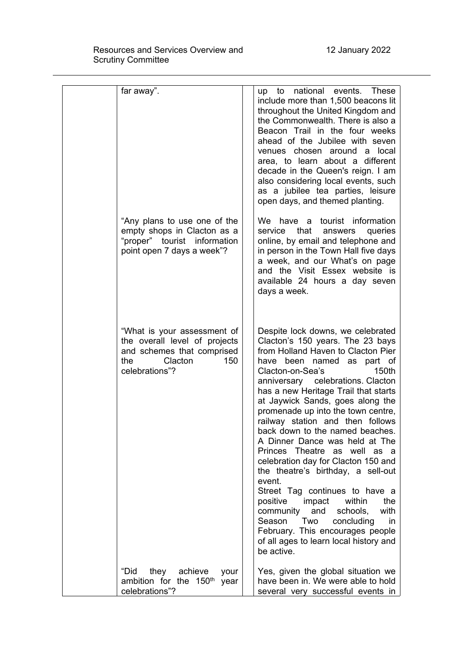| far away".                                                                                                                            | up to national events. These<br>include more than 1,500 beacons lit<br>throughout the United Kingdom and<br>the Commonwealth. There is also a<br>Beacon Trail in the four weeks<br>ahead of the Jubilee with seven<br>venues chosen around a local<br>area, to learn about a different<br>decade in the Queen's reign. I am<br>also considering local events, such<br>as a jubilee tea parties, leisure<br>open days, and themed planting.                                                                                                                                                                                                                                                                                                                                                             |
|---------------------------------------------------------------------------------------------------------------------------------------|--------------------------------------------------------------------------------------------------------------------------------------------------------------------------------------------------------------------------------------------------------------------------------------------------------------------------------------------------------------------------------------------------------------------------------------------------------------------------------------------------------------------------------------------------------------------------------------------------------------------------------------------------------------------------------------------------------------------------------------------------------------------------------------------------------|
| "Any plans to use one of the<br>empty shops in Clacton as a<br>"proper" tourist information<br>point open 7 days a week"?             | We have a tourist information<br>that<br>queries<br>service<br>answers<br>online, by email and telephone and<br>in person in the Town Hall five days<br>a week, and our What's on page<br>and the Visit Essex website is<br>available 24 hours a day seven<br>days a week.                                                                                                                                                                                                                                                                                                                                                                                                                                                                                                                             |
| "What is your assessment of<br>the overall level of projects<br>and schemes that comprised<br>Clacton<br>the<br>150<br>celebrations"? | Despite lock downs, we celebrated<br>Clacton's 150 years. The 23 bays<br>from Holland Haven to Clacton Pier<br>have been named as part of<br>Clacton-on-Sea's<br>150th<br>anniversary celebrations. Clacton<br>has a new Heritage Trail that starts<br>at Jaywick Sands, goes along the<br>promenade up into the town centre,<br>railway station and then follows<br>back down to the named beaches.<br>A Dinner Dance was held at The<br>Princes Theatre as well as a<br>celebration day for Clacton 150 and<br>the theatre's birthday, a sell-out<br>event.<br>Street Tag continues to have a<br>positive impact<br>within<br>the<br>community and<br>schools,<br>with<br>Season Two<br>concluding<br>in<br>February. This encourages people<br>of all ages to learn local history and<br>be active. |
| they<br>achieve<br>"Did<br>your<br>ambition for the 150 <sup>th</sup><br>year<br>celebrations"?                                       | Yes, given the global situation we<br>have been in. We were able to hold<br>several very successful events in                                                                                                                                                                                                                                                                                                                                                                                                                                                                                                                                                                                                                                                                                          |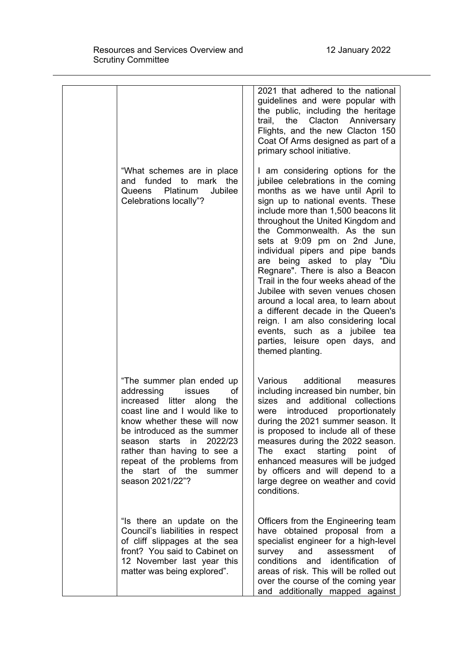|                                                                                                                                                                                                                                                                                                                                      | 2021 that adhered to the national<br>guidelines and were popular with<br>the public, including the heritage<br>the<br>Clacton<br>trail,<br>Anniversary<br>Flights, and the new Clacton 150<br>Coat Of Arms designed as part of a<br>primary school initiative.                                                                                                                                                                                                                                                                                                                                                                                                                                  |
|--------------------------------------------------------------------------------------------------------------------------------------------------------------------------------------------------------------------------------------------------------------------------------------------------------------------------------------|-------------------------------------------------------------------------------------------------------------------------------------------------------------------------------------------------------------------------------------------------------------------------------------------------------------------------------------------------------------------------------------------------------------------------------------------------------------------------------------------------------------------------------------------------------------------------------------------------------------------------------------------------------------------------------------------------|
| "What schemes are in place<br>and funded to mark the<br>Platinum<br>Jubilee<br>Queens<br>Celebrations locally"?                                                                                                                                                                                                                      | I am considering options for the<br>jubilee celebrations in the coming<br>months as we have until April to<br>sign up to national events. These<br>include more than 1,500 beacons lit<br>throughout the United Kingdom and<br>the Commonwealth. As the sun<br>sets at 9:09 pm on 2nd June,<br>individual pipers and pipe bands<br>being asked to play "Diu<br>are<br>Regnare". There is also a Beacon<br>Trail in the four weeks ahead of the<br>Jubilee with seven venues chosen<br>around a local area, to learn about<br>a different decade in the Queen's<br>reign. I am also considering local<br>events, such as a jubilee tea<br>parties, leisure open days,<br>and<br>themed planting. |
| "The summer plan ended up<br>addressing<br>issues<br>οf<br>litter along<br>increased<br>the<br>coast line and I would like to<br>know whether these will now<br>be introduced as the summer<br>season starts in 2022/23<br>rather than having to see a<br>repeat of the problems from<br>the start of the summer<br>season 2021/22"? | Various additional<br>measures<br>including increased bin number, bin<br>and additional<br>sizes<br>collections<br>proportionately<br>introduced<br>were<br>during the 2021 summer season. It<br>is proposed to include all of these<br>measures during the 2022 season.<br>exact starting point<br><b>The</b><br>of .<br>enhanced measures will be judged<br>by officers and will depend to a<br>large degree on weather and covid<br>conditions.                                                                                                                                                                                                                                              |
| "Is there an update on the<br>Council's liabilities in respect<br>of cliff slippages at the sea<br>front? You said to Cabinet on<br>12 November last year this<br>matter was being explored".                                                                                                                                        | Officers from the Engineering team<br>have obtained proposal from a<br>specialist engineer for a high-level<br><b>of</b><br>survey and<br>assessment<br>conditions and identification<br>of<br>areas of risk. This will be rolled out<br>over the course of the coming year<br>and additionally mapped against                                                                                                                                                                                                                                                                                                                                                                                  |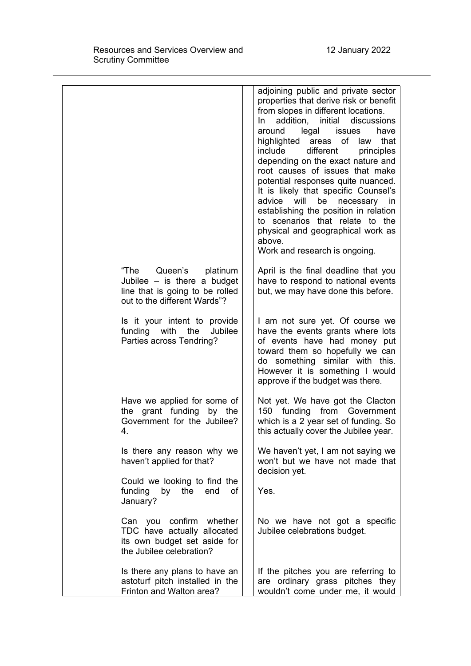|                                                                                                                              | adjoining public and private sector<br>properties that derive risk or benefit<br>from slopes in different locations.<br>initial<br>addition,<br>discussions<br>In.<br>around legal issues<br>have<br>highlighted areas of law<br>that<br>different<br>include<br>principles<br>depending on the exact nature and<br>root causes of issues that make<br>potential responses quite nuanced.<br>It is likely that specific Counsel's<br>advice<br>will<br>be<br>necessary<br>in<br>establishing the position in relation<br>to scenarios that relate to the<br>physical and geographical work as<br>above.<br>Work and research is ongoing. |
|------------------------------------------------------------------------------------------------------------------------------|------------------------------------------------------------------------------------------------------------------------------------------------------------------------------------------------------------------------------------------------------------------------------------------------------------------------------------------------------------------------------------------------------------------------------------------------------------------------------------------------------------------------------------------------------------------------------------------------------------------------------------------|
| Queen's platinum<br>"The<br>Jubilee $-$ is there a budget<br>line that is going to be rolled<br>out to the different Wards"? | April is the final deadline that you<br>have to respond to national events<br>but, we may have done this before.                                                                                                                                                                                                                                                                                                                                                                                                                                                                                                                         |
| Is it your intent to provide<br>funding with the<br>Jubilee<br>Parties across Tendring?                                      | I am not sure yet. Of course we<br>have the events grants where lots<br>of events have had money put<br>toward them so hopefully we can<br>do something similar with this.<br>However it is something I would<br>approve if the budget was there.                                                                                                                                                                                                                                                                                                                                                                                        |
| Have we applied for some of<br>the grant funding by the<br>Government for the Jubilee?<br>4.                                 | Not yet. We have got the Clacton<br>150 funding from Government<br>which is a 2 year set of funding. So<br>this actually cover the Jubilee year.                                                                                                                                                                                                                                                                                                                                                                                                                                                                                         |
| Is there any reason why we<br>haven't applied for that?                                                                      | We haven't yet, I am not saying we<br>won't but we have not made that<br>decision yet.                                                                                                                                                                                                                                                                                                                                                                                                                                                                                                                                                   |
| Could we looking to find the<br>funding<br>by the<br>end<br>of<br>January?                                                   | Yes.                                                                                                                                                                                                                                                                                                                                                                                                                                                                                                                                                                                                                                     |
| Can you confirm whether<br>TDC have actually allocated<br>its own budget set aside for<br>the Jubilee celebration?           | No we have not got a specific<br>Jubilee celebrations budget.                                                                                                                                                                                                                                                                                                                                                                                                                                                                                                                                                                            |
| Is there any plans to have an<br>astoturf pitch installed in the<br>Frinton and Walton area?                                 | If the pitches you are referring to<br>are ordinary grass pitches they<br>wouldn't come under me, it would                                                                                                                                                                                                                                                                                                                                                                                                                                                                                                                               |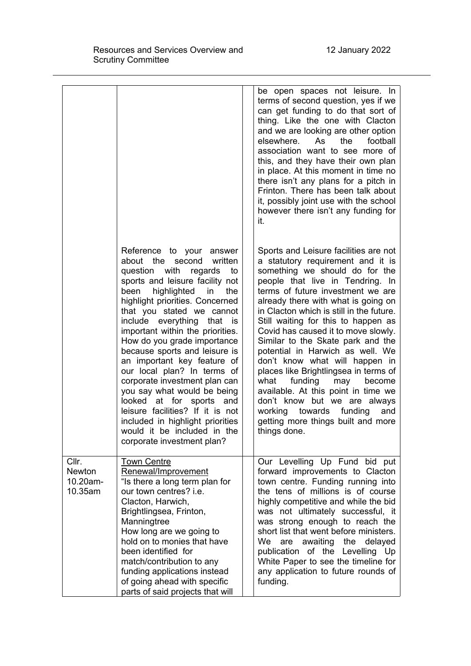|                                               |                                                                                                                                                                                                                                                                                                                                                                                                                                                                                                                                                                                                                                                                                      | be open spaces not leisure. In<br>terms of second question, yes if we<br>can get funding to do that sort of<br>thing. Like the one with Clacton<br>and we are looking are other option<br>elsewhere.<br>football<br>As<br>the<br>association want to see more of<br>this, and they have their own plan<br>in place. At this moment in time no<br>there isn't any plans for a pitch in<br>Frinton. There has been talk about<br>it, possibly joint use with the school<br>however there isn't any funding for<br>it.                                                                                                                                                                                                 |
|-----------------------------------------------|--------------------------------------------------------------------------------------------------------------------------------------------------------------------------------------------------------------------------------------------------------------------------------------------------------------------------------------------------------------------------------------------------------------------------------------------------------------------------------------------------------------------------------------------------------------------------------------------------------------------------------------------------------------------------------------|---------------------------------------------------------------------------------------------------------------------------------------------------------------------------------------------------------------------------------------------------------------------------------------------------------------------------------------------------------------------------------------------------------------------------------------------------------------------------------------------------------------------------------------------------------------------------------------------------------------------------------------------------------------------------------------------------------------------|
|                                               | Reference to your answer<br>about the<br>second<br>written<br>question with<br>regards<br>to<br>sports and leisure facility not<br>highlighted<br>been<br>the<br>in<br>highlight priorities. Concerned<br>that you stated we cannot<br>include everything that<br><b>is</b><br>important within the priorities.<br>How do you grade importance<br>because sports and leisure is<br>an important key feature of<br>our local plan? In terms of<br>corporate investment plan can<br>you say what would be being<br>looked<br>at for<br>sports and<br>leisure facilities? If it is not<br>included in highlight priorities<br>would it be included in the<br>corporate investment plan? | Sports and Leisure facilities are not<br>a statutory requirement and it is<br>something we should do for the<br>people that live in Tendring. In<br>terms of future investment we are<br>already there with what is going on<br>in Clacton which is still in the future.<br>Still waiting for this to happen as<br>Covid has caused it to move slowly.<br>Similar to the Skate park and the<br>potential in Harwich as well. We<br>don't know what will happen in<br>places like Brightlingsea in terms of<br>what<br>funding<br>may<br>become<br>available. At this point in time we<br>don't know but we are always<br>towards<br>funding<br>working<br>and<br>getting more things built and more<br>things done. |
| Cllr.<br><b>Newton</b><br>10.20am-<br>10.35am | <b>Town Centre</b><br>Renewal/Improvement<br>"Is there a long term plan for<br>our town centres? i.e.<br>Clacton, Harwich,<br>Brightlingsea, Frinton,<br>Manningtree<br>How long are we going to<br>hold on to monies that have<br>been identified for<br>match/contribution to any<br>funding applications instead<br>of going ahead with specific<br>parts of said projects that will                                                                                                                                                                                                                                                                                              | Our Levelling Up Fund bid put<br>forward improvements to Clacton<br>town centre. Funding running into<br>the tens of millions is of course<br>highly competitive and while the bid<br>was not ultimately successful, it<br>was strong enough to reach the<br>short list that went before ministers.<br>We<br>awaiting<br>the<br>delayed<br>are<br>publication of the Levelling Up<br>White Paper to see the timeline for<br>any application to future rounds of<br>funding.                                                                                                                                                                                                                                         |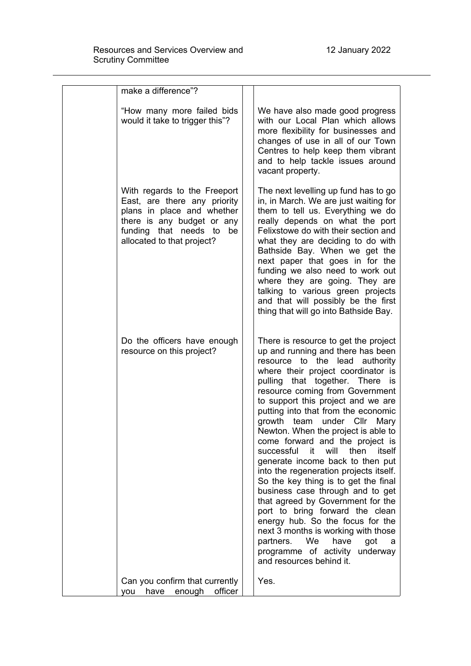| make a difference"?                                                                                                                                                                   |                                                                                                                                                                                                                                                                                                                                                                                                                                                                                                                                                                                                                                                                                                                                                                                                                                                                                    |
|---------------------------------------------------------------------------------------------------------------------------------------------------------------------------------------|------------------------------------------------------------------------------------------------------------------------------------------------------------------------------------------------------------------------------------------------------------------------------------------------------------------------------------------------------------------------------------------------------------------------------------------------------------------------------------------------------------------------------------------------------------------------------------------------------------------------------------------------------------------------------------------------------------------------------------------------------------------------------------------------------------------------------------------------------------------------------------|
| "How many more failed bids<br>would it take to trigger this"?                                                                                                                         | We have also made good progress<br>with our Local Plan which allows<br>more flexibility for businesses and<br>changes of use in all of our Town<br>Centres to help keep them vibrant<br>and to help tackle issues around<br>vacant property.                                                                                                                                                                                                                                                                                                                                                                                                                                                                                                                                                                                                                                       |
| With regards to the Freeport<br>East, are there any priority<br>plans in place and whether<br>there is any budget or any<br>funding that needs to<br>be<br>allocated to that project? | The next levelling up fund has to go<br>in, in March. We are just waiting for<br>them to tell us. Everything we do<br>really depends on what the port<br>Felixstowe do with their section and<br>what they are deciding to do with<br>Bathside Bay. When we get the<br>next paper that goes in for the<br>funding we also need to work out<br>where they are going. They are<br>talking to various green projects<br>and that will possibly be the first<br>thing that will go into Bathside Bay.                                                                                                                                                                                                                                                                                                                                                                                  |
| Do the officers have enough<br>resource on this project?                                                                                                                              | There is resource to get the project<br>up and running and there has been<br>resource to the lead authority<br>where their project coordinator is<br>pulling that together. There<br>is<br>resource coming from Government<br>to support this project and we are<br>putting into that from the economic<br>growth<br>under Cllr Mary<br>team<br>Newton. When the project is able to<br>come forward and the project is<br>will<br>successful it<br>then<br>itself<br>generate income back to then put<br>into the regeneration projects itself.<br>So the key thing is to get the final<br>business case through and to get<br>that agreed by Government for the<br>port to bring forward the clean<br>energy hub. So the focus for the<br>next 3 months is working with those<br>partners. We<br>have<br>got<br>- a<br>programme of activity underway<br>and resources behind it. |
| Can you confirm that currently<br>enough<br>officer<br>have<br>you                                                                                                                    | Yes.                                                                                                                                                                                                                                                                                                                                                                                                                                                                                                                                                                                                                                                                                                                                                                                                                                                                               |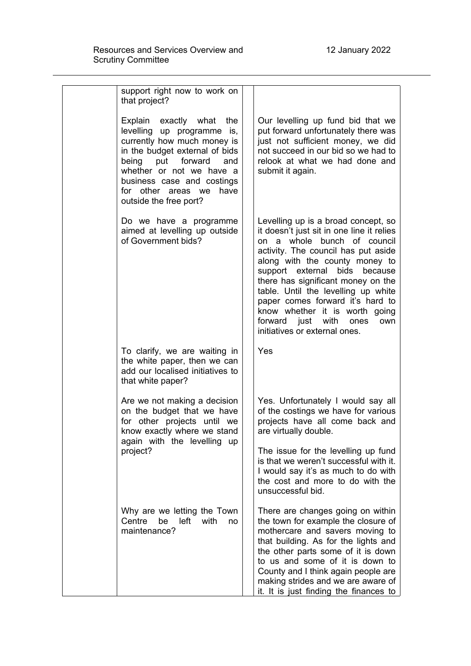| support right now to work on<br>that project?                                                                                                                                                                                                                            |                                                                                                                                                                                                                                                                                                                                                                                                                                                      |
|--------------------------------------------------------------------------------------------------------------------------------------------------------------------------------------------------------------------------------------------------------------------------|------------------------------------------------------------------------------------------------------------------------------------------------------------------------------------------------------------------------------------------------------------------------------------------------------------------------------------------------------------------------------------------------------------------------------------------------------|
| Explain exactly what<br>the<br>levelling up programme is,<br>currently how much money is<br>in the budget external of bids<br>being put forward<br>and<br>whether or not we have a<br>business case and costings<br>for other areas we<br>have<br>outside the free port? | Our levelling up fund bid that we<br>put forward unfortunately there was<br>just not sufficient money, we did<br>not succeed in our bid so we had to<br>relook at what we had done and<br>submit it again.                                                                                                                                                                                                                                           |
| Do we have a programme<br>aimed at levelling up outside<br>of Government bids?                                                                                                                                                                                           | Levelling up is a broad concept, so<br>it doesn't just sit in one line it relies<br>on a whole bunch of council<br>activity. The council has put aside<br>along with the county money to<br>support external bids<br>because<br>there has significant money on the<br>table. Until the levelling up white<br>paper comes forward it's hard to<br>know whether it is worth going<br>forward just with<br>ones<br>own<br>initiatives or external ones. |
| To clarify, we are waiting in<br>the white paper, then we can<br>add our localised initiatives to<br>that white paper?                                                                                                                                                   | Yes                                                                                                                                                                                                                                                                                                                                                                                                                                                  |
| Are we not making a decision<br>on the budget that we have<br>for other projects until we<br>know exactly where we stand<br>again with the levelling up                                                                                                                  | Yes. Unfortunately I would say all<br>of the costings we have for various<br>projects have all come back and<br>are virtually double.                                                                                                                                                                                                                                                                                                                |
| project?                                                                                                                                                                                                                                                                 | The issue for the levelling up fund<br>is that we weren't successful with it.<br>I would say it's as much to do with<br>the cost and more to do with the<br>unsuccessful bid.                                                                                                                                                                                                                                                                        |
| Why are we letting the Town<br>Centre<br>be left<br>with<br>no<br>maintenance?                                                                                                                                                                                           | There are changes going on within<br>the town for example the closure of<br>mothercare and savers moving to<br>that building. As for the lights and<br>the other parts some of it is down<br>to us and some of it is down to<br>County and I think again people are<br>making strides and we are aware of<br>it. It is just finding the finances to                                                                                                  |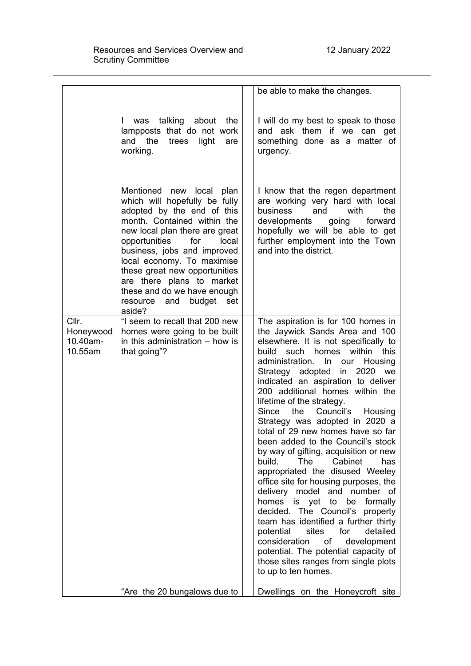| was talking about<br>the<br>L<br>lampposts that do not work<br>and the<br>trees<br>light<br>are<br>working.<br>urgency.<br>Mentioned new local<br>plan<br>which will hopefully be fully<br>adopted by the end of this<br>business<br>and<br>with<br>month. Contained within the<br>developments going<br>new local plan there are great<br>opportunities<br>for<br>local<br>and into the district.<br>business, jobs and improved<br>local economy. To maximise<br>these great new opportunities<br>are there plans to market<br>these and do we have enough<br>budget<br>and<br>set<br>resource<br>aside?<br>Cllr.<br>"I seem to recall that 200 new<br>homes were going to be built<br>Honeywood<br>10.40am-<br>in this administration $-$ how is<br>10.55am<br>that going"?<br>build<br>such<br>homes<br>within<br>administration. In our<br>Strategy adopted<br>2020<br>in<br>lifetime of the strategy.<br>Since<br>the Council's<br>Cabinet<br>build.<br><b>The</b><br>homes is yet to<br>be |  | be able to make the changes.                                                                                                                                                                                                                                                                                                                                                                                                                                                                                                                                                                                                                                                                                                               |
|---------------------------------------------------------------------------------------------------------------------------------------------------------------------------------------------------------------------------------------------------------------------------------------------------------------------------------------------------------------------------------------------------------------------------------------------------------------------------------------------------------------------------------------------------------------------------------------------------------------------------------------------------------------------------------------------------------------------------------------------------------------------------------------------------------------------------------------------------------------------------------------------------------------------------------------------------------------------------------------------------|--|--------------------------------------------------------------------------------------------------------------------------------------------------------------------------------------------------------------------------------------------------------------------------------------------------------------------------------------------------------------------------------------------------------------------------------------------------------------------------------------------------------------------------------------------------------------------------------------------------------------------------------------------------------------------------------------------------------------------------------------------|
|                                                                                                                                                                                                                                                                                                                                                                                                                                                                                                                                                                                                                                                                                                                                                                                                                                                                                                                                                                                                   |  | I will do my best to speak to those<br>and ask them if we can get<br>something done as a matter of                                                                                                                                                                                                                                                                                                                                                                                                                                                                                                                                                                                                                                         |
|                                                                                                                                                                                                                                                                                                                                                                                                                                                                                                                                                                                                                                                                                                                                                                                                                                                                                                                                                                                                   |  | I know that the regen department<br>are working very hard with local<br>the<br>forward<br>hopefully we will be able to get<br>further employment into the Town                                                                                                                                                                                                                                                                                                                                                                                                                                                                                                                                                                             |
| sites<br>potential<br>for<br>consideration<br>οf<br>to up to ten homes.<br>"Are the 20 bungalows due to                                                                                                                                                                                                                                                                                                                                                                                                                                                                                                                                                                                                                                                                                                                                                                                                                                                                                           |  | The aspiration is for 100 homes in<br>the Jaywick Sands Area and 100<br>elsewhere. It is not specifically to<br>this<br>Housing<br>we<br>indicated an aspiration to deliver<br>200 additional homes within the<br>Housing<br>Strategy was adopted in 2020 a<br>total of 29 new homes have so far<br>been added to the Council's stock<br>by way of gifting, acquisition or new<br>has<br>appropriated the disused Weeley<br>office site for housing purposes, the<br>delivery model and number of<br>formally<br>decided. The Council's<br>property<br>team has identified a further thirty<br>detailed<br>development<br>potential. The potential capacity of<br>those sites ranges from single plots<br>Dwellings on the Honeycroft site |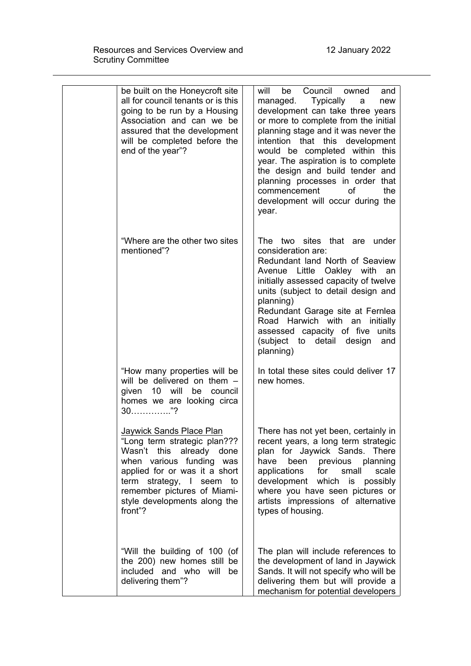| be built on the Honeycroft site<br>all for council tenants or is this<br>going to be run by a Housing<br>Association and can we be<br>assured that the development<br>will be completed before the<br>end of the year"?                                        | Council owned<br>will<br>be<br>and<br>Typically<br>managed.<br>a<br>new<br>development can take three years<br>or more to complete from the initial<br>planning stage and it was never the<br>intention that this development<br>would be completed within this<br>year. The aspiration is to complete<br>the design and build tender and<br>planning processes in order that<br>commencement<br>0f<br>the<br>development will occur during the<br>year. |
|----------------------------------------------------------------------------------------------------------------------------------------------------------------------------------------------------------------------------------------------------------------|----------------------------------------------------------------------------------------------------------------------------------------------------------------------------------------------------------------------------------------------------------------------------------------------------------------------------------------------------------------------------------------------------------------------------------------------------------|
| "Where are the other two sites<br>mentioned"?                                                                                                                                                                                                                  | The two sites that are under<br>consideration are:<br>Redundant land North of Seaview<br>Avenue Little Oakley with<br>an<br>initially assessed capacity of twelve<br>units (subject to detail design and<br>planning)<br>Redundant Garage site at Fernlea<br>Road Harwich with an<br>initially<br>assessed capacity of five units<br>(subject to detail design<br>and<br>planning)                                                                       |
| "How many properties will be<br>will be delivered on them -<br>given 10 will be council<br>homes we are looking circa                                                                                                                                          | In total these sites could deliver 17<br>new homes.                                                                                                                                                                                                                                                                                                                                                                                                      |
| <b>Jaywick Sands Place Plan</b><br>"Long term strategic plan???<br>Wasn't this already done<br>when various funding was<br>applied for or was it a short<br>term strategy, I seem to<br>remember pictures of Miami-<br>style developments along the<br>front"? | There has not yet been, certainly in<br>recent years, a long term strategic<br>plan for Jaywick Sands. There<br>been previous planning<br>have<br>applications<br>for small<br>scale<br>development which is possibly<br>where you have seen pictures or<br>artists impressions of alternative<br>types of housing.                                                                                                                                      |
| "Will the building of 100 (of<br>the 200) new homes still be<br>included and who will<br>be<br>delivering them"?                                                                                                                                               | The plan will include references to<br>the development of land in Jaywick<br>Sands. It will not specify who will be<br>delivering them but will provide a<br>mechanism for potential developers                                                                                                                                                                                                                                                          |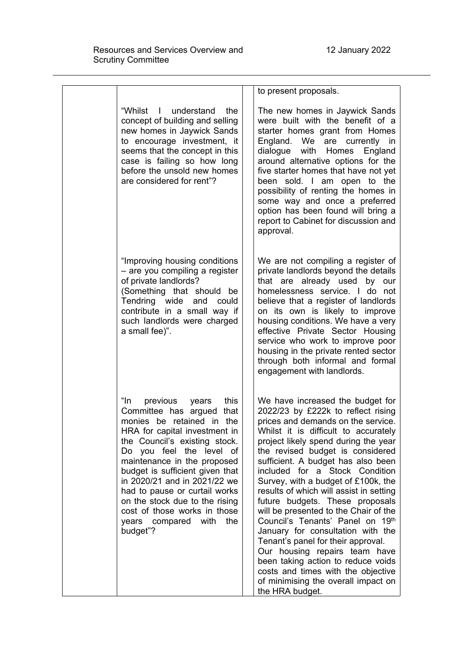|                                                                                                                                                                                                                                                                                                                                                                                                                                      | to present proposals.                                                                                                                                                                                                                                                                                                                                                                                                                                                                                                                                                                                                                                                                                                                                        |
|--------------------------------------------------------------------------------------------------------------------------------------------------------------------------------------------------------------------------------------------------------------------------------------------------------------------------------------------------------------------------------------------------------------------------------------|--------------------------------------------------------------------------------------------------------------------------------------------------------------------------------------------------------------------------------------------------------------------------------------------------------------------------------------------------------------------------------------------------------------------------------------------------------------------------------------------------------------------------------------------------------------------------------------------------------------------------------------------------------------------------------------------------------------------------------------------------------------|
| "Whilst<br>I understand<br>the<br>concept of building and selling<br>new homes in Jaywick Sands<br>to encourage investment, it<br>seems that the concept in this<br>case is failing so how long<br>before the unsold new homes<br>are considered for rent"?                                                                                                                                                                          | The new homes in Jaywick Sands<br>were built with the benefit of a<br>starter homes grant from Homes<br>England. We are currently in<br>dialogue with Homes England<br>around alternative options for the<br>five starter homes that have not yet<br>been sold. I am open to the<br>possibility of renting the homes in<br>some way and once a preferred<br>option has been found will bring a<br>report to Cabinet for discussion and<br>approval.                                                                                                                                                                                                                                                                                                          |
| "Improving housing conditions<br>- are you compiling a register<br>of private landlords?<br>(Something that should be<br>Tendring wide and could<br>contribute in a small way if<br>such landlords were charged<br>a small fee)".                                                                                                                                                                                                    | We are not compiling a register of<br>private landlords beyond the details<br>that are already used by<br>our<br>homelessness service. I do not<br>believe that a register of landlords<br>on its own is likely to improve<br>housing conditions. We have a very<br>effective Private Sector Housing<br>service who work to improve poor<br>housing in the private rented sector<br>through both informal and formal<br>engagement with landlords.                                                                                                                                                                                                                                                                                                           |
| "In<br>previous<br>this<br>years<br>Committee has argued that<br>monies be retained in the<br>HRA for capital investment in<br>the Council's existing stock.<br>Do you feel the level of<br>maintenance in the proposed<br>budget is sufficient given that<br>in 2020/21 and in 2021/22 we<br>had to pause or curtail works<br>on the stock due to the rising<br>cost of those works in those<br>years compared with the<br>budget"? | We have increased the budget for<br>2022/23 by £222k to reflect rising<br>prices and demands on the service.<br>Whilst it is difficult to accurately<br>project likely spend during the year<br>the revised budget is considered<br>sufficient. A budget has also been<br>included for a Stock Condition<br>Survey, with a budget of £100k, the<br>results of which will assist in setting<br>future budgets. These proposals<br>will be presented to the Chair of the<br>Council's Tenants' Panel on 19th<br>January for consultation with the<br>Tenant's panel for their approval.<br>Our housing repairs team have<br>been taking action to reduce voids<br>costs and times with the objective<br>of minimising the overall impact on<br>the HRA budget. |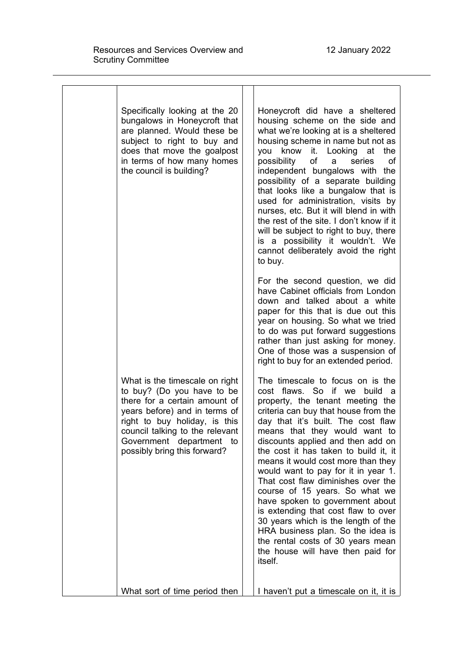| Specifically looking at the 20<br>bungalows in Honeycroft that<br>are planned. Would these be<br>subject to right to buy and<br>does that move the goalpost<br>in terms of how many homes<br>the council is building?                                          | Honeycroft did have a sheltered<br>housing scheme on the side and<br>what we're looking at is a sheltered<br>housing scheme in name but not as<br>you know it. Looking at<br>the<br>possibility<br>οf<br>series<br>οf<br>a<br>independent bungalows with the<br>possibility of a separate building<br>that looks like a bungalow that is<br>used for administration, visits by<br>nurses, etc. But it will blend in with<br>the rest of the site. I don't know if it<br>will be subject to right to buy, there<br>is a possibility it wouldn't. We<br>cannot deliberately avoid the right<br>to buy.                                                                                              |
|----------------------------------------------------------------------------------------------------------------------------------------------------------------------------------------------------------------------------------------------------------------|---------------------------------------------------------------------------------------------------------------------------------------------------------------------------------------------------------------------------------------------------------------------------------------------------------------------------------------------------------------------------------------------------------------------------------------------------------------------------------------------------------------------------------------------------------------------------------------------------------------------------------------------------------------------------------------------------|
|                                                                                                                                                                                                                                                                | For the second question, we did<br>have Cabinet officials from London<br>down and talked about a white<br>paper for this that is due out this<br>year on housing. So what we tried<br>to do was put forward suggestions<br>rather than just asking for money.<br>One of those was a suspension of<br>right to buy for an extended period.                                                                                                                                                                                                                                                                                                                                                         |
| What is the timescale on right<br>to buy? (Do you have to be<br>there for a certain amount of<br>years before) and in terms of<br>right to buy holiday, is this<br>council talking to the relevant<br>Government department to<br>possibly bring this forward? | The timescale to focus on is the<br>cost flaws. So if we build a<br>property, the tenant meeting the<br>criteria can buy that house from the<br>day that it's built. The cost flaw<br>means that they would want to<br>discounts applied and then add on<br>the cost it has taken to build it, it<br>means it would cost more than they<br>would want to pay for it in year 1.<br>That cost flaw diminishes over the<br>course of 15 years. So what we<br>have spoken to government about<br>is extending that cost flaw to over<br>30 years which is the length of the<br>HRA business plan. So the idea is<br>the rental costs of 30 years mean<br>the house will have then paid for<br>itself. |
| What sort of time period then                                                                                                                                                                                                                                  | I haven't put a timescale on it, it is                                                                                                                                                                                                                                                                                                                                                                                                                                                                                                                                                                                                                                                            |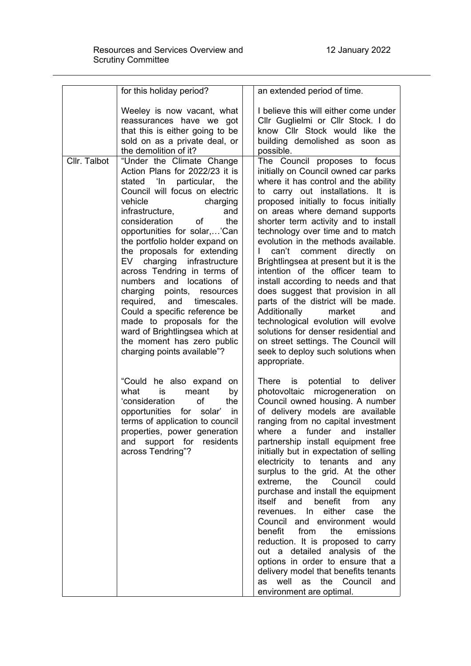|              | for this holiday period?                                                                                                                                                                                                                                                                                                                                                                                                                                                                                                                                                                                                              | an extended period of time.                                                                                                                                                                                                                                                                                                                                                                                                                                                                                                                                                                                                                                                                                                                                                                                                                        |
|--------------|---------------------------------------------------------------------------------------------------------------------------------------------------------------------------------------------------------------------------------------------------------------------------------------------------------------------------------------------------------------------------------------------------------------------------------------------------------------------------------------------------------------------------------------------------------------------------------------------------------------------------------------|----------------------------------------------------------------------------------------------------------------------------------------------------------------------------------------------------------------------------------------------------------------------------------------------------------------------------------------------------------------------------------------------------------------------------------------------------------------------------------------------------------------------------------------------------------------------------------------------------------------------------------------------------------------------------------------------------------------------------------------------------------------------------------------------------------------------------------------------------|
|              | Weeley is now vacant, what<br>reassurances have we got<br>that this is either going to be<br>sold on as a private deal, or<br>the demolition of it?                                                                                                                                                                                                                                                                                                                                                                                                                                                                                   | I believe this will either come under<br>Cllr Guglielmi or Cllr Stock. I do<br>know Cllr Stock would like the<br>building demolished as soon as<br>possible.                                                                                                                                                                                                                                                                                                                                                                                                                                                                                                                                                                                                                                                                                       |
| Cllr. Talbot | "Under the Climate Change<br>Action Plans for 2022/23 it is<br>stated 'In particular,<br>the<br>Council will focus on electric<br>vehicle<br>charging<br>infrastructure,<br>and<br>the<br>consideration<br>of<br>opportunities for solar,'Can<br>the portfolio holder expand on<br>the proposals for extending<br>EV charging infrastructure<br>across Tendring in terms of<br>numbers and locations<br>of<br>charging points, resources<br>required, and<br>timescales.<br>Could a specific reference be<br>made to proposals for the<br>ward of Brightlingsea which at<br>the moment has zero public<br>charging points available"? | The Council proposes to focus<br>initially on Council owned car parks<br>where it has control and the ability<br>to carry out installations. It is<br>proposed initially to focus initially<br>on areas where demand supports<br>shorter term activity and to install<br>technology over time and to match<br>evolution in the methods available.<br>can't comment directly on<br>Brightlingsea at present but it is the<br>intention of the officer team to<br>install according to needs and that<br>does suggest that provision in all<br>parts of the district will be made.<br>Additionally<br>market<br>and<br>technological evolution will evolve<br>solutions for denser residential and<br>on street settings. The Council will<br>seek to deploy such solutions when<br>appropriate.                                                     |
|              | "Could he also expand<br>on<br>what<br>meant<br>is<br>by<br>'consideration<br>of<br>the<br>opportunities<br>for solar'<br>in.<br>terms of application to council<br>properties, power generation<br>support for<br>residents<br>and<br>across Tendring"?                                                                                                                                                                                                                                                                                                                                                                              | is potential to deliver<br>There<br>photovoltaic microgeneration<br>on<br>Council owned housing. A number<br>of delivery models are available<br>ranging from no capital investment<br>where<br>a funder and installer<br>partnership install equipment free<br>initially but in expectation of selling<br>electricity to tenants and<br>any<br>surplus to the grid. At the other<br>extreme,<br>the<br>Council<br>could<br>purchase and install the equipment<br>and<br>from<br>itself<br>benefit<br>any<br>either<br>revenues. In<br>the<br>case<br>Council and environment would<br>benefit from the<br>emissions<br>reduction. It is proposed to carry<br>out a detailed analysis of the<br>options in order to ensure that a<br>delivery model that benefits tenants<br>well<br>as<br>the<br>Council<br>as<br>and<br>environment are optimal. |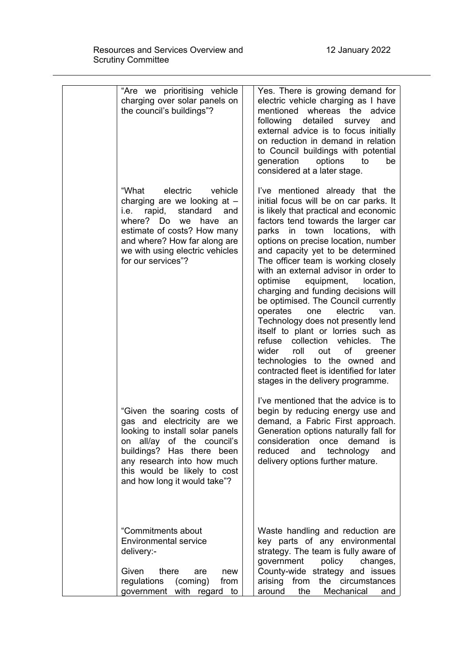| "Are we prioritising vehicle<br>charging over solar panels on<br>the council's buildings"?                                                                                                                                                                | Yes. There is growing demand for<br>electric vehicle charging as I have<br>mentioned whereas the advice<br>detailed<br>following<br>survey<br>and<br>external advice is to focus initially<br>on reduction in demand in relation<br>to Council buildings with potential<br>generation<br>options<br>to<br>be<br>considered at a later stage.                                                                                                                                                                                                                                                                                                                                                                                                                                                                   |
|-----------------------------------------------------------------------------------------------------------------------------------------------------------------------------------------------------------------------------------------------------------|----------------------------------------------------------------------------------------------------------------------------------------------------------------------------------------------------------------------------------------------------------------------------------------------------------------------------------------------------------------------------------------------------------------------------------------------------------------------------------------------------------------------------------------------------------------------------------------------------------------------------------------------------------------------------------------------------------------------------------------------------------------------------------------------------------------|
| "What<br>electric<br>vehicle<br>charging are we looking at $-$<br>standard<br>i.e. rapid,<br>and<br>where? Do<br>we<br>have<br>an<br>estimate of costs? How many<br>and where? How far along are<br>we with using electric vehicles<br>for our services"? | I've mentioned already that the<br>initial focus will be on car parks. It<br>is likely that practical and economic<br>factors tend towards the larger car<br>in town<br>locations,<br>parks<br>with<br>options on precise location, number<br>and capacity yet to be determined<br>The officer team is working closely<br>with an external advisor in order to<br>optimise<br>equipment,<br>location,<br>charging and funding decisions will<br>be optimised. The Council currently<br>operates<br>electric<br>one<br>van.<br>Technology does not presently lend<br>itself to plant or lorries such as<br>refuse collection vehicles.<br><b>The</b><br>wider<br>roll<br>of<br>out<br>greener<br>technologies to the owned and<br>contracted fleet is identified for later<br>stages in the delivery programme. |
| "Given the soaring costs of<br>gas and electricity are we<br>looking to install solar panels<br>on all/ay of the council's<br>buildings? Has there been<br>any research into how much<br>this would be likely to cost<br>and how long it would take"?     | I've mentioned that the advice is to<br>begin by reducing energy use and<br>demand, a Fabric First approach.<br>Generation options naturally fall for<br>consideration<br>demand<br>once<br>IS<br>reduced<br>and<br>technology<br>and<br>delivery options further mature.                                                                                                                                                                                                                                                                                                                                                                                                                                                                                                                                      |
| "Commitments about<br><b>Environmental service</b><br>delivery:-<br>Given<br>there<br>are<br>new<br>regulations<br>(coming)<br>from<br>government with regard to                                                                                          | Waste handling and reduction are<br>key parts of any environmental<br>strategy. The team is fully aware of<br>government<br>policy<br>changes,<br>County-wide strategy and issues<br>arising<br>from<br>the circumstances<br>Mechanical<br>around<br>the<br>and                                                                                                                                                                                                                                                                                                                                                                                                                                                                                                                                                |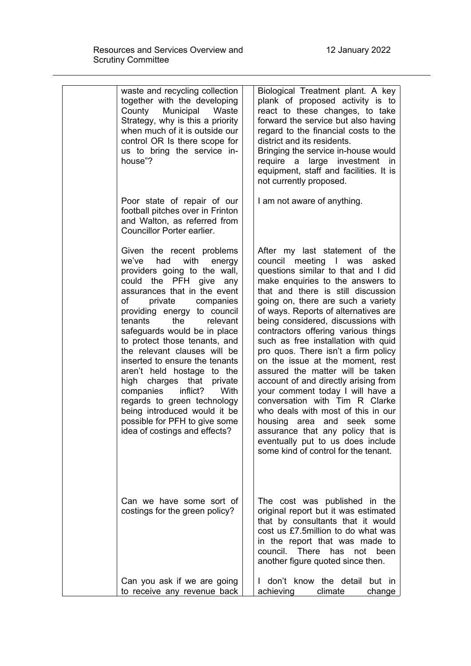|  | waste and recycling collection<br>together with the developing<br>County<br>Municipal<br>Waste<br>Strategy, why is this a priority<br>when much of it is outside our<br>control OR Is there scope for<br>us to bring the service in-<br>house"?                                                                                                                                                                                                                                                                                                                                                                  | Biological Treatment plant. A key<br>plank of proposed activity is to<br>react to these changes, to take<br>forward the service but also having<br>regard to the financial costs to the<br>district and its residents.<br>Bringing the service in-house would<br>large investment in<br>require a<br>equipment, staff and facilities. It is<br>not currently proposed.                                                                                                                                                                                                                                                                                                                                                                                                                                    |
|--|------------------------------------------------------------------------------------------------------------------------------------------------------------------------------------------------------------------------------------------------------------------------------------------------------------------------------------------------------------------------------------------------------------------------------------------------------------------------------------------------------------------------------------------------------------------------------------------------------------------|-----------------------------------------------------------------------------------------------------------------------------------------------------------------------------------------------------------------------------------------------------------------------------------------------------------------------------------------------------------------------------------------------------------------------------------------------------------------------------------------------------------------------------------------------------------------------------------------------------------------------------------------------------------------------------------------------------------------------------------------------------------------------------------------------------------|
|  | Poor state of repair of our<br>football pitches over in Frinton<br>and Walton, as referred from<br>Councillor Porter earlier.                                                                                                                                                                                                                                                                                                                                                                                                                                                                                    | I am not aware of anything.                                                                                                                                                                                                                                                                                                                                                                                                                                                                                                                                                                                                                                                                                                                                                                               |
|  | Given the recent problems<br>with<br>we've<br>had<br>energy<br>providers going to the wall,<br>could the PFH give<br>any<br>assurances that in the event<br>of<br>private companies<br>providing energy to council<br>tenants<br>the<br>relevant<br>safeguards would be in place<br>to protect those tenants, and<br>the relevant clauses will be<br>inserted to ensure the tenants<br>aren't held hostage to the<br>high charges that private<br>inflict?<br>companies<br>With<br>regards to green technology<br>being introduced would it be<br>possible for PFH to give some<br>idea of costings and effects? | After my last statement of the<br>council meeting I was<br>asked<br>questions similar to that and I did<br>make enquiries to the answers to<br>that and there is still discussion<br>going on, there are such a variety<br>of ways. Reports of alternatives are<br>being considered, discussions with<br>contractors offering various things<br>such as free installation with quid<br>pro quos. There isn't a firm policy<br>on the issue at the moment, rest<br>assured the matter will be taken<br>account of and directly arising from<br>your comment today I will have a<br>conversation with Tim R Clarke<br>who deals with most of this in our<br>housing area and seek<br>some<br>assurance that any policy that is<br>eventually put to us does include<br>some kind of control for the tenant. |
|  | Can we have some sort of<br>costings for the green policy?                                                                                                                                                                                                                                                                                                                                                                                                                                                                                                                                                       | The cost was published in the<br>original report but it was estimated<br>that by consultants that it would<br>cost us £7.5 million to do what was<br>in the report that was made to<br>council. There has not<br>been<br>another figure quoted since then.                                                                                                                                                                                                                                                                                                                                                                                                                                                                                                                                                |
|  | Can you ask if we are going<br>to receive any revenue back                                                                                                                                                                                                                                                                                                                                                                                                                                                                                                                                                       | I don't know the detail but in<br>achieving<br>climate<br>change                                                                                                                                                                                                                                                                                                                                                                                                                                                                                                                                                                                                                                                                                                                                          |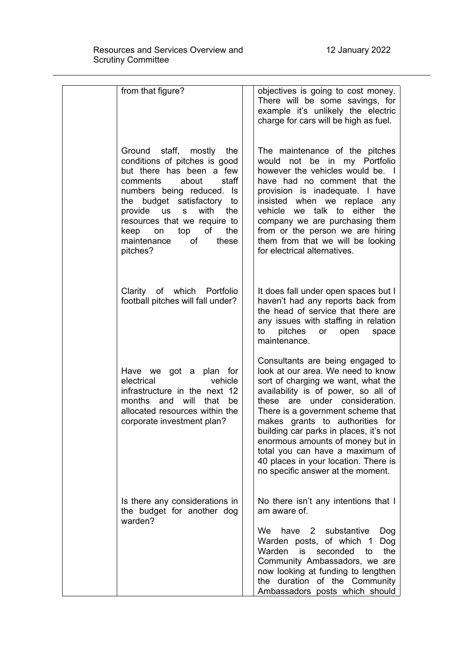| from that figure?                                                                                                                                                                                                                                                                                                      | objectives is going to cost money.<br>There will be some savings, for<br>example it's unlikely the electric<br>charge for cars will be high as fuel.                                                                                                                                                                                                                                                                                                       |
|------------------------------------------------------------------------------------------------------------------------------------------------------------------------------------------------------------------------------------------------------------------------------------------------------------------------|------------------------------------------------------------------------------------------------------------------------------------------------------------------------------------------------------------------------------------------------------------------------------------------------------------------------------------------------------------------------------------------------------------------------------------------------------------|
| Ground staff, mostly the<br>conditions of pitches is good<br>but there has been a few<br>about<br>comments<br>staff<br>numbers being reduced. Is<br>the budget satisfactory to<br>provide us s with<br>the<br>resources that we require to<br>of<br>the<br>keep<br>top<br>on<br>maintenance<br>οf<br>these<br>pitches? | The maintenance of the pitches<br>would not be in my Portfolio<br>however the vehicles would be. I<br>have had no comment that the<br>provision is inadequate. I have<br>insisted when we replace any<br>vehicle we talk to either the<br>company we are purchasing them<br>from or the person we are hiring<br>them from that we will be looking<br>for electrical alternatives.                                                                          |
| Clarity of which Portfolio<br>football pitches will fall under?                                                                                                                                                                                                                                                        | It does fall under open spaces but I<br>haven't had any reports back from<br>the head of service that there are<br>any issues with staffing in relation<br>pitches<br>or open<br>to<br>space<br>maintenance.                                                                                                                                                                                                                                               |
| Have we got a plan for<br>electrical<br>vehicle<br>infrastructure in the next 12<br>months and will that<br>be<br>allocated resources within the<br>corporate investment plan?                                                                                                                                         | Consultants are being engaged to<br>look at our area. We need to know<br>sort of charging we want, what the<br>availability is of power, so all of<br>these are under consideration.<br>There is a government scheme that<br>makes grants to authorities for<br>building car parks in places, it's not<br>enormous amounts of money but in<br>total you can have a maximum of<br>40 places in your location. There is<br>no specific answer at the moment. |
| Is there any considerations in<br>the budget for another dog<br>warden?                                                                                                                                                                                                                                                | No there isn't any intentions that I<br>am aware of.<br>We .<br>have<br>$\mathbf{2}$<br>substantive<br>Dog<br>Warden posts, of which 1<br>Dog<br>Warden<br>the<br>is<br>seconded<br>to<br>Community Ambassadors, we are<br>now looking at funding to lengthen<br>the duration of the Community<br>Ambassadors posts which should                                                                                                                           |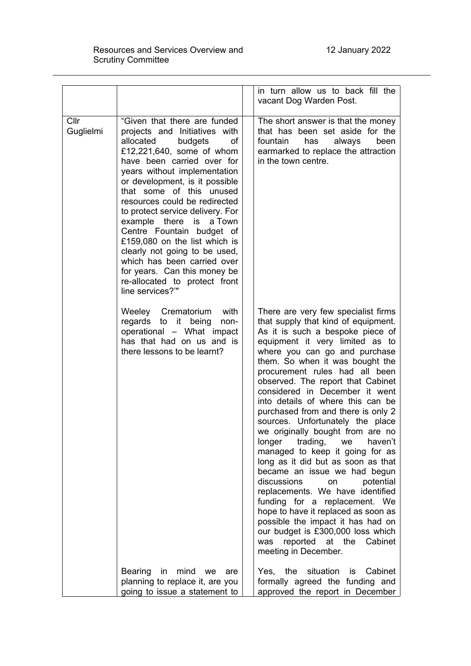|                   |                                                                                                                                                                                                                                                                                                                                                                                                                                                                                                                                                                        | in turn allow us to back fill the<br>vacant Dog Warden Post.                                                                                                                                                                                                                                                                                                                                                                                                                                                                                                                                                                                                                                                                                                                                                                                                                                                           |
|-------------------|------------------------------------------------------------------------------------------------------------------------------------------------------------------------------------------------------------------------------------------------------------------------------------------------------------------------------------------------------------------------------------------------------------------------------------------------------------------------------------------------------------------------------------------------------------------------|------------------------------------------------------------------------------------------------------------------------------------------------------------------------------------------------------------------------------------------------------------------------------------------------------------------------------------------------------------------------------------------------------------------------------------------------------------------------------------------------------------------------------------------------------------------------------------------------------------------------------------------------------------------------------------------------------------------------------------------------------------------------------------------------------------------------------------------------------------------------------------------------------------------------|
| Cllr<br>Guglielmi | "Given that there are funded<br>projects and Initiatives with<br>allocated<br>budgets<br>οf<br>£12,221,640, some of whom<br>have been carried over for<br>years without implementation<br>or development, is it possible<br>that some of this unused<br>resources could be redirected<br>to protect service delivery. For<br>example there is a Town<br>Centre Fountain budget of<br>£159,080 on the list which is<br>clearly not going to be used,<br>which has been carried over<br>for years. Can this money be<br>re-allocated to protect front<br>line services?" | The short answer is that the money<br>that has been set aside for the<br>fountain<br>has<br>always<br>been<br>earmarked to replace the attraction<br>in the town centre.                                                                                                                                                                                                                                                                                                                                                                                                                                                                                                                                                                                                                                                                                                                                               |
|                   | Weeley Crematorium<br>with<br>regards to it<br>being<br>non-<br>operational - What impact<br>has that had on us and is<br>there lessons to be learnt?                                                                                                                                                                                                                                                                                                                                                                                                                  | There are very few specialist firms<br>that supply that kind of equipment.<br>As it is such a bespoke piece of<br>equipment it very limited as to<br>where you can go and purchase<br>them. So when it was bought the<br>procurement rules had all been<br>observed. The report that Cabinet<br>considered in December it went<br>into details of where this can be<br>purchased from and there is only 2<br>sources. Unfortunately the place<br>we originally bought from are no<br>longer<br>trading,<br>we<br>haven't<br>managed to keep it going for as<br>long as it did but as soon as that<br>became an issue we had begun<br>discussions<br>potential<br>on<br>replacements. We have identified<br>funding for a replacement. We<br>hope to have it replaced as soon as<br>possible the impact it has had on<br>our budget is £300,000 loss which<br>reported at the<br>Cabinet<br>was<br>meeting in December. |
|                   | Bearing in mind we<br>are<br>planning to replace it, are you<br>going to issue a statement to                                                                                                                                                                                                                                                                                                                                                                                                                                                                          | Yes, the<br>situation<br>is<br>Cabinet<br>formally agreed the funding and<br>approved the report in December                                                                                                                                                                                                                                                                                                                                                                                                                                                                                                                                                                                                                                                                                                                                                                                                           |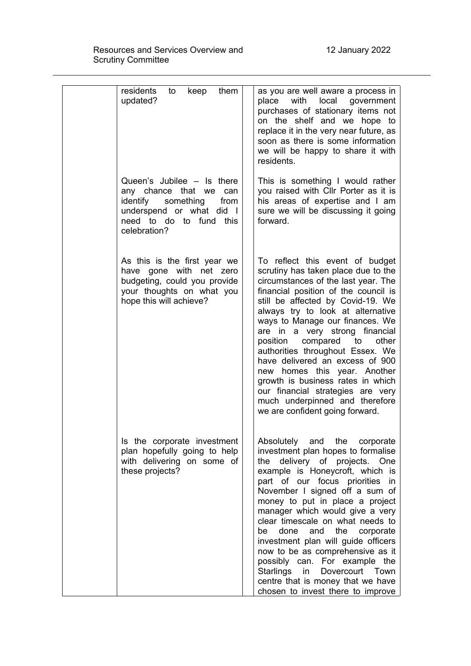| residents<br>them<br>to<br>keep<br>updated?                                                                                                                  | as you are well aware a process in<br>local<br>place<br>with<br>government<br>purchases of stationary items not<br>on the shelf and we hope to<br>replace it in the very near future, as<br>soon as there is some information<br>we will be happy to share it with<br>residents.                                                                                                                                                                                                                                                                                                                                    |
|--------------------------------------------------------------------------------------------------------------------------------------------------------------|---------------------------------------------------------------------------------------------------------------------------------------------------------------------------------------------------------------------------------------------------------------------------------------------------------------------------------------------------------------------------------------------------------------------------------------------------------------------------------------------------------------------------------------------------------------------------------------------------------------------|
| Queen's Jubilee - Is there<br>any chance that we can<br>something<br>identify<br>from<br>underspend or what did I<br>need to do to fund this<br>celebration? | This is something I would rather<br>you raised with Cllr Porter as it is<br>his areas of expertise and I am<br>sure we will be discussing it going<br>forward.                                                                                                                                                                                                                                                                                                                                                                                                                                                      |
| As this is the first year we<br>have gone with net zero<br>budgeting, could you provide<br>your thoughts on what you<br>hope this will achieve?              | To reflect this event of budget<br>scrutiny has taken place due to the<br>circumstances of the last year. The<br>financial position of the council is<br>still be affected by Covid-19. We<br>always try to look at alternative<br>ways to Manage our finances. We<br>are in a very strong financial<br>position<br>compared to<br>other<br>authorities throughout Essex. We<br>have delivered an excess of 900<br>homes this year. Another<br>new<br>growth is business rates in which<br>our financial strategies are very<br>much underpinned and therefore<br>we are confident going forward.                   |
| Is the corporate investment<br>plan hopefully going to help<br>with delivering on some of<br>these projects?                                                 | Absolutely and<br>the<br>corporate<br>investment plan hopes to formalise<br>delivery of projects.<br>the<br><b>One</b><br>example is Honeycroft, which is<br>part of our focus priorities<br>in<br>November I signed off a sum of<br>money to put in place a project<br>manager which would give a very<br>clear timescale on what needs to<br>done<br>and<br>the<br>be<br>corporate<br>investment plan will guide officers<br>now to be as comprehensive as it<br>possibly can. For example the<br>Starlings<br>Dovercourt<br>Town<br>in<br>centre that is money that we have<br>chosen to invest there to improve |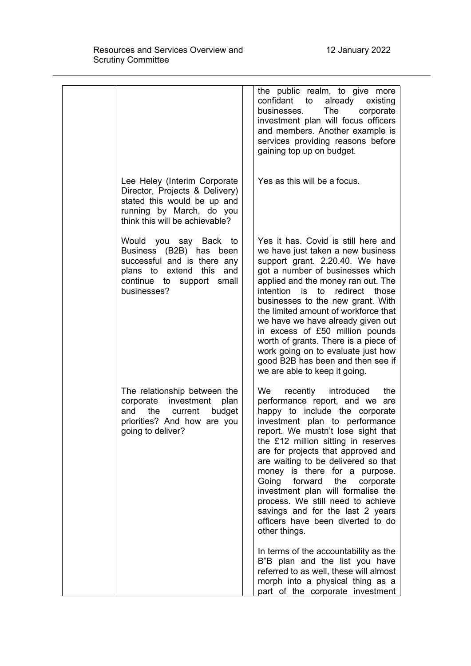|                                                                                                                                                             | the public realm, to give more<br>confidant to already<br>existing<br>businesses.<br>The<br>corporate<br>investment plan will focus officers<br>and members. Another example is<br>services providing reasons before<br>gaining top up on budget.                                                                                                                                                                                                                                                                                        |
|-------------------------------------------------------------------------------------------------------------------------------------------------------------|------------------------------------------------------------------------------------------------------------------------------------------------------------------------------------------------------------------------------------------------------------------------------------------------------------------------------------------------------------------------------------------------------------------------------------------------------------------------------------------------------------------------------------------|
| Lee Heley (Interim Corporate<br>Director, Projects & Delivery)<br>stated this would be up and<br>running by March, do you<br>think this will be achievable? | Yes as this will be a focus.                                                                                                                                                                                                                                                                                                                                                                                                                                                                                                             |
| Would you say Back to<br>Business (B2B) has been<br>successful and is there any<br>plans to extend this and<br>continue to support small<br>businesses?     | Yes it has. Covid is still here and<br>we have just taken a new business<br>support grant. 2.20.40. We have<br>got a number of businesses which<br>applied and the money ran out. The<br>intention is to<br>redirect those<br>businesses to the new grant. With<br>the limited amount of workforce that<br>we have we have already given out<br>in excess of £50 million pounds<br>worth of grants. There is a piece of<br>work going on to evaluate just how<br>good B2B has been and then see if<br>we are able to keep it going.      |
| The relationship between the<br>corporate<br>investment<br>plan<br>the<br>and<br>current<br>budget<br>priorities? And how are you<br>going to deliver?      | We<br>recently introduced<br>the<br>performance report, and we are<br>happy to include the corporate<br>investment plan to performance<br>report. We mustn't lose sight that<br>the £12 million sitting in reserves<br>are for projects that approved and<br>are waiting to be delivered so that<br>money is there for a purpose.<br>Going forward the<br>corporate<br>investment plan will formalise the<br>process. We still need to achieve<br>savings and for the last 2 years<br>officers have been diverted to do<br>other things. |
|                                                                                                                                                             | In terms of the accountability as the<br>B"B plan and the list you have<br>referred to as well, these will almost<br>morph into a physical thing as a<br>part of the corporate investment                                                                                                                                                                                                                                                                                                                                                |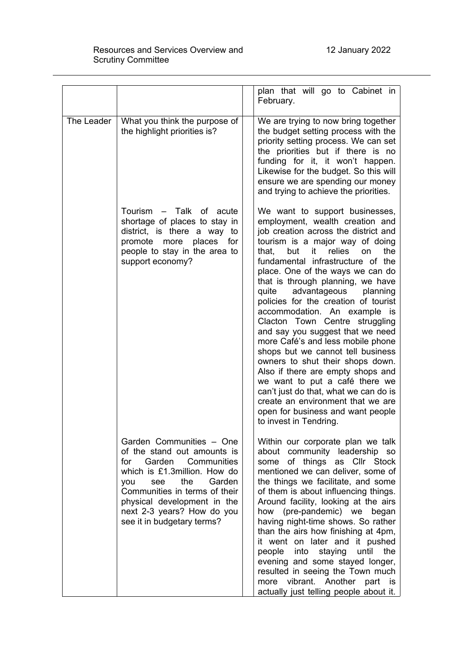## Resources and Services Overview and Scrutiny Committee

|            |                                                                                                                                                                                                                                                                                 | plan that will go to Cabinet in<br>February.                                                                                                                                                                                                                                                                                                                                                                                                                                                                                                                                                                                                                                                                                                                                                                                     |
|------------|---------------------------------------------------------------------------------------------------------------------------------------------------------------------------------------------------------------------------------------------------------------------------------|----------------------------------------------------------------------------------------------------------------------------------------------------------------------------------------------------------------------------------------------------------------------------------------------------------------------------------------------------------------------------------------------------------------------------------------------------------------------------------------------------------------------------------------------------------------------------------------------------------------------------------------------------------------------------------------------------------------------------------------------------------------------------------------------------------------------------------|
| The Leader | What you think the purpose of<br>the highlight priorities is?                                                                                                                                                                                                                   | We are trying to now bring together<br>the budget setting process with the<br>priority setting process. We can set<br>the priorities but if there is no<br>funding for it, it won't happen.<br>Likewise for the budget. So this will<br>ensure we are spending our money<br>and trying to achieve the priorities.                                                                                                                                                                                                                                                                                                                                                                                                                                                                                                                |
|            | Tourism - Talk of acute<br>shortage of places to stay in<br>district, is there a way to<br>promote more places<br>for<br>people to stay in the area to<br>support economy?                                                                                                      | We want to support businesses,<br>employment, wealth creation and<br>job creation across the district and<br>tourism is a major way of doing<br>but it relies<br>on<br>the<br>that,<br>fundamental infrastructure of the<br>place. One of the ways we can do<br>that is through planning, we have<br>advantageous<br>planning<br>quite<br>policies for the creation of tourist<br>accommodation. An example<br><b>IS</b><br>Clacton Town Centre struggling<br>and say you suggest that we need<br>more Café's and less mobile phone<br>shops but we cannot tell business<br>owners to shut their shops down.<br>Also if there are empty shops and<br>we want to put a café there we<br>can't just do that, what we can do is<br>create an environment that we are<br>open for business and want people<br>to invest in Tendring. |
|            | Garden Communities - One<br>of the stand out amounts is<br>Garden Communities<br>for<br>which is £1.3million. How do<br>Garden<br>see<br>the<br>you<br>Communities in terms of their<br>physical development in the<br>next 2-3 years? How do you<br>see it in budgetary terms? | Within our corporate plan we talk<br>about community leadership so<br>some of things as Cllr Stock<br>mentioned we can deliver, some of<br>the things we facilitate, and some<br>of them is about influencing things.<br>Around facility, looking at the airs<br>how (pre-pandemic) we began<br>having night-time shows. So rather<br>than the airs how finishing at 4pm,<br>it went on later and it pushed<br>people into<br>staying<br>until<br>the<br>evening and some stayed longer,<br>resulted in seeing the Town much<br>vibrant. Another part<br>more<br>is<br>actually just telling people about it.                                                                                                                                                                                                                    |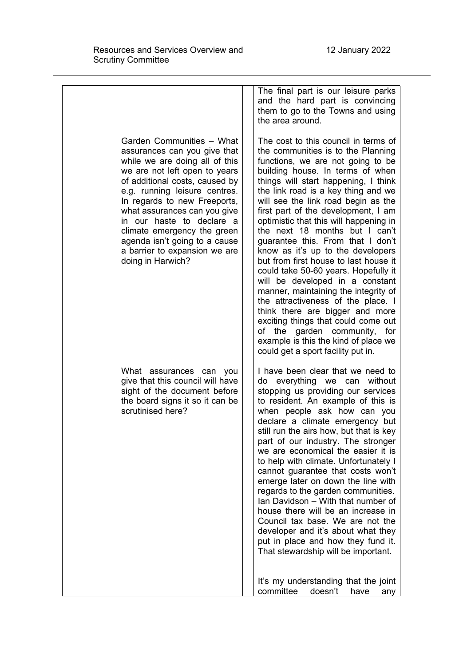|  |                                                                                                                                                                                                                                                                                                                                                                                                                    | The final part is our leisure parks<br>and the hard part is convincing<br>them to go to the Towns and using<br>the area around.                                                                                                                                                                                                                                                                                                                                                                                                                                                                                                                                                                                                                                                                                                                                     |
|--|--------------------------------------------------------------------------------------------------------------------------------------------------------------------------------------------------------------------------------------------------------------------------------------------------------------------------------------------------------------------------------------------------------------------|---------------------------------------------------------------------------------------------------------------------------------------------------------------------------------------------------------------------------------------------------------------------------------------------------------------------------------------------------------------------------------------------------------------------------------------------------------------------------------------------------------------------------------------------------------------------------------------------------------------------------------------------------------------------------------------------------------------------------------------------------------------------------------------------------------------------------------------------------------------------|
|  | Garden Communities - What<br>assurances can you give that<br>while we are doing all of this<br>we are not left open to years<br>of additional costs, caused by<br>e.g. running leisure centres.<br>In regards to new Freeports,<br>what assurances can you give<br>in our haste to declare a<br>climate emergency the green<br>agenda isn't going to a cause<br>a barrier to expansion we are<br>doing in Harwich? | The cost to this council in terms of<br>the communities is to the Planning<br>functions, we are not going to be<br>building house. In terms of when<br>things will start happening, I think<br>the link road is a key thing and we<br>will see the link road begin as the<br>first part of the development, I am<br>optimistic that this will happening in<br>the next 18 months but I can't<br>guarantee this. From that I don't<br>know as it's up to the developers<br>but from first house to last house it<br>could take 50-60 years. Hopefully it<br>will be developed in a constant<br>manner, maintaining the integrity of<br>the attractiveness of the place. I<br>think there are bigger and more<br>exciting things that could come out<br>of the garden community,<br>for<br>example is this the kind of place we<br>could get a sport facility put in. |
|  | What assurances can you<br>give that this council will have<br>sight of the document before<br>the board signs it so it can be<br>scrutinised here?                                                                                                                                                                                                                                                                | I have been clear that we need to<br>do everything we can without<br>stopping us providing our services<br>to resident. An example of this is<br>when people ask how can you<br>declare a climate emergency but<br>still run the airs how, but that is key<br>part of our industry. The stronger<br>we are economical the easier it is<br>to help with climate. Unfortunately I<br>cannot guarantee that costs won't<br>emerge later on down the line with<br>regards to the garden communities.<br>Ian Davidson - With that number of<br>house there will be an increase in<br>Council tax base. We are not the<br>developer and it's about what they<br>put in place and how they fund it.<br>That stewardship will be important.<br>It's my understanding that the joint                                                                                         |
|  |                                                                                                                                                                                                                                                                                                                                                                                                                    | doesn't<br>committee<br>have<br>any                                                                                                                                                                                                                                                                                                                                                                                                                                                                                                                                                                                                                                                                                                                                                                                                                                 |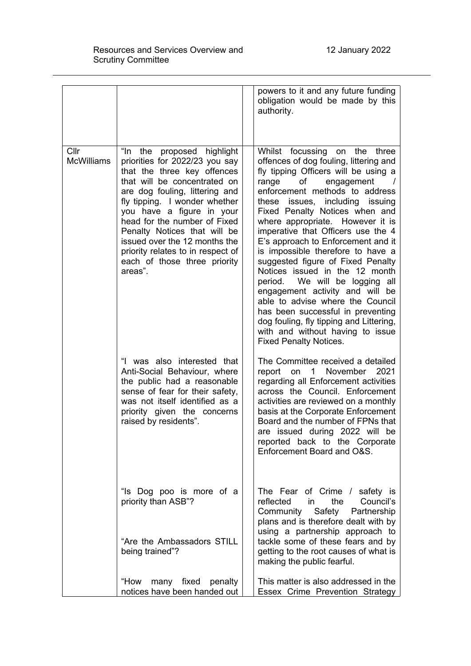|                           |                                                                                                                                                                                                                                                                                                                                                                                                                 | powers to it and any future funding<br>obligation would be made by this<br>authority.                                                                                                                                                                                                                                                                                                                                                                                                                                                                                                                                                                                                                                                                           |
|---------------------------|-----------------------------------------------------------------------------------------------------------------------------------------------------------------------------------------------------------------------------------------------------------------------------------------------------------------------------------------------------------------------------------------------------------------|-----------------------------------------------------------------------------------------------------------------------------------------------------------------------------------------------------------------------------------------------------------------------------------------------------------------------------------------------------------------------------------------------------------------------------------------------------------------------------------------------------------------------------------------------------------------------------------------------------------------------------------------------------------------------------------------------------------------------------------------------------------------|
| Cllr<br><b>McWilliams</b> | "In the<br>proposed highlight<br>priorities for 2022/23 you say<br>that the three key offences<br>that will be concentrated on<br>are dog fouling, littering and<br>fly tipping. I wonder whether<br>you have a figure in your<br>head for the number of Fixed<br>Penalty Notices that will be<br>issued over the 12 months the<br>priority relates to in respect of<br>each of those three priority<br>areas". | Whilst focussing<br>the three<br>on<br>offences of dog fouling, littering and<br>fly tipping Officers will be using a<br>engagement<br>range<br>of<br>$\prime$<br>enforcement methods to address<br>these issues, including issuing<br>Fixed Penalty Notices when and<br>where appropriate. However it is<br>imperative that Officers use the 4<br>E's approach to Enforcement and it<br>is impossible therefore to have a<br>suggested figure of Fixed Penalty<br>Notices issued in the 12 month<br>period. We will be logging all<br>engagement activity and will be<br>able to advise where the Council<br>has been successful in preventing<br>dog fouling, fly tipping and Littering,<br>with and without having to issue<br><b>Fixed Penalty Notices.</b> |
|                           | "I was also interested that<br>Anti-Social Behaviour, where<br>the public had a reasonable<br>sense of fear for their safety,<br>was not itself identified as a<br>priority given the concerns<br>raised by residents".                                                                                                                                                                                         | The Committee received a detailed<br>report on<br>1<br>November<br>2021<br>regarding all Enforcement activities<br>across the Council. Enforcement<br>activities are reviewed on a monthly<br>basis at the Corporate Enforcement<br>Board and the number of FPNs that<br>are issued during 2022 will be<br>reported back to the Corporate<br>Enforcement Board and O&S.                                                                                                                                                                                                                                                                                                                                                                                         |
|                           | "Is Dog poo is more of a<br>priority than ASB"?<br>"Are the Ambassadors STILL<br>being trained"?                                                                                                                                                                                                                                                                                                                | The Fear of Crime / safety is<br>reflected<br>the<br>Council's<br>in.<br>Safety<br>Community<br>Partnership<br>plans and is therefore dealt with by<br>using a partnership approach to<br>tackle some of these fears and by<br>getting to the root causes of what is<br>making the public fearful.                                                                                                                                                                                                                                                                                                                                                                                                                                                              |
|                           | many fixed penalty<br>"How<br>notices have been handed out                                                                                                                                                                                                                                                                                                                                                      | This matter is also addressed in the<br>Essex Crime Prevention Strategy                                                                                                                                                                                                                                                                                                                                                                                                                                                                                                                                                                                                                                                                                         |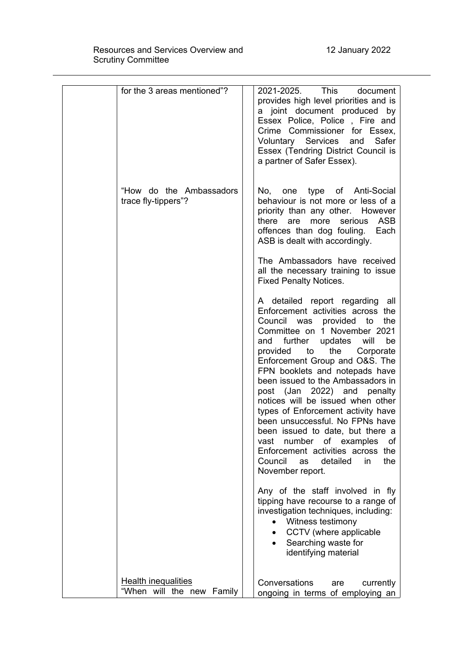| for the 3 areas mentioned"?                             | 2021-2025. This<br>document<br>provides high level priorities and is<br>a joint document produced by<br>Essex Police, Police, Fire and<br>Crime Commissioner for Essex,<br>Voluntary Services and<br>Safer<br>Essex (Tendring District Council is<br>a partner of Safer Essex).                                                                                                                                                                                                                                                                                                                                                            |
|---------------------------------------------------------|--------------------------------------------------------------------------------------------------------------------------------------------------------------------------------------------------------------------------------------------------------------------------------------------------------------------------------------------------------------------------------------------------------------------------------------------------------------------------------------------------------------------------------------------------------------------------------------------------------------------------------------------|
| "How do the Ambassadors"<br>trace fly-tippers"?         | No, one type of Anti-Social<br>behaviour is not more or less of a<br>priority than any other. However<br>there are<br>more<br>serious<br>ASB<br>offences than dog fouling. Each<br>ASB is dealt with accordingly.                                                                                                                                                                                                                                                                                                                                                                                                                          |
|                                                         | The Ambassadors have received<br>all the necessary training to issue<br><b>Fixed Penalty Notices.</b>                                                                                                                                                                                                                                                                                                                                                                                                                                                                                                                                      |
|                                                         | A detailed report regarding all<br>Enforcement activities across the<br>Council was provided to<br>the<br>Committee on 1 November 2021<br>and further updates will<br>be<br>provided to the<br>Corporate<br>Enforcement Group and O&S. The<br>FPN booklets and notepads have<br>been issued to the Ambassadors in<br>post (Jan 2022) and penalty<br>notices will be issued when other<br>types of Enforcement activity have<br>been unsuccessful. No FPNs have<br>been issued to date, but there a<br>number of examples<br>vast<br>οf<br>Enforcement activities across the<br>detailed<br>the<br>Council<br>as<br>in.<br>November report. |
|                                                         | Any of the staff involved in fly<br>tipping have recourse to a range of<br>investigation techniques, including:<br>• Witness testimony<br>CCTV (where applicable<br>Searching waste for<br>$\bullet$<br>identifying material                                                                                                                                                                                                                                                                                                                                                                                                               |
| <b>Health inequalities</b><br>"When will the new Family | Conversations<br>currently<br>are<br>ongoing in terms of employing an                                                                                                                                                                                                                                                                                                                                                                                                                                                                                                                                                                      |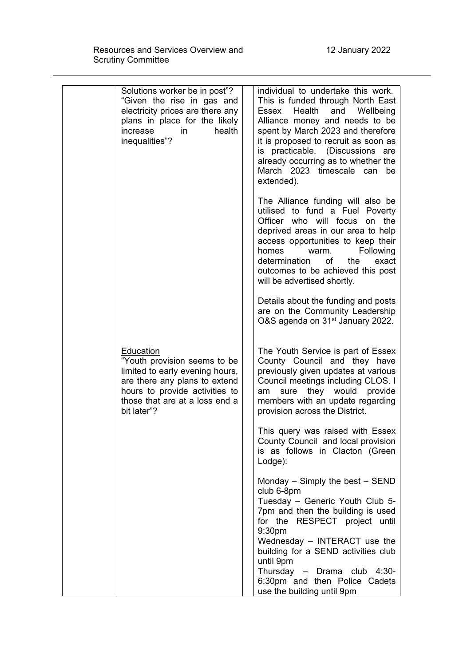| Solutions worker be in post"?<br>"Given the rise in gas and<br>electricity prices are there any<br>plans in place for the likely<br>health<br>increase<br>in<br>inequalities"?                   | individual to undertake this work.<br>This is funded through North East<br>and<br>Health<br>Wellbeing<br>Essex<br>Alliance money and needs to be<br>spent by March 2023 and therefore<br>it is proposed to recruit as soon as<br>is practicable. (Discussions are<br>already occurring as to whether the<br>March 2023 timescale can be<br>extended). |
|--------------------------------------------------------------------------------------------------------------------------------------------------------------------------------------------------|-------------------------------------------------------------------------------------------------------------------------------------------------------------------------------------------------------------------------------------------------------------------------------------------------------------------------------------------------------|
|                                                                                                                                                                                                  | The Alliance funding will also be<br>utilised to fund a Fuel Poverty<br>Officer who will focus<br>on the<br>deprived areas in our area to help<br>access opportunities to keep their<br>homes<br>Following<br>warm.<br>determination<br>of<br>the<br>exact<br>outcomes to be achieved this post<br>will be advertised shortly.                        |
|                                                                                                                                                                                                  | Details about the funding and posts<br>are on the Community Leadership<br>O&S agenda on 31 <sup>st</sup> January 2022.                                                                                                                                                                                                                                |
| Education<br>"Youth provision seems to be<br>limited to early evening hours,<br>are there any plans to extend<br>hours to provide activities to<br>those that are at a loss end a<br>bit later"? | The Youth Service is part of Essex<br>County Council and they have<br>previously given updates at various<br>Council meetings including CLOS. I<br>they would provide<br>sure<br>am<br>members with an update regarding<br>provision across the District.                                                                                             |
|                                                                                                                                                                                                  | This query was raised with Essex<br>County Council and local provision<br>is as follows in Clacton (Green<br>Lodge):                                                                                                                                                                                                                                  |
|                                                                                                                                                                                                  | Monday $-$ Simply the best $-$ SEND<br>club 6-8pm<br>Tuesday - Generic Youth Club 5-<br>7pm and then the building is used<br>for the RESPECT project until<br>9:30pm<br>Wednesday - INTERACT use the<br>building for a SEND activities club<br>until 9pm                                                                                              |
|                                                                                                                                                                                                  | Thursday - Drama club 4:30-<br>6:30pm and then Police Cadets<br>use the building until 9pm                                                                                                                                                                                                                                                            |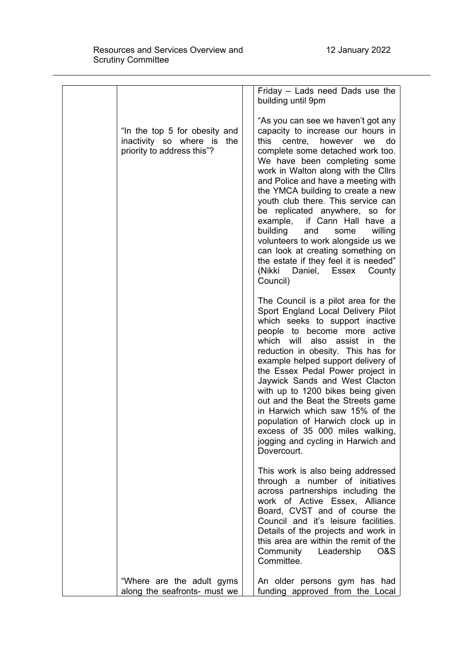|                                                                                           | Friday - Lads need Dads use the<br>building until 9pm                                                                                                                                                                                                                                                                                                                                                                                                                                                                                                                                                                      |
|-------------------------------------------------------------------------------------------|----------------------------------------------------------------------------------------------------------------------------------------------------------------------------------------------------------------------------------------------------------------------------------------------------------------------------------------------------------------------------------------------------------------------------------------------------------------------------------------------------------------------------------------------------------------------------------------------------------------------------|
| "In the top 5 for obesity and<br>inactivity so where is the<br>priority to address this"? | "As you can see we haven't got any<br>capacity to increase our hours in<br>this<br>centre, however<br>do<br>we<br>complete some detached work too.<br>We have been completing some<br>work in Walton along with the Cllrs<br>and Police and have a meeting with<br>the YMCA building to create a new<br>youth club there. This service can<br>be replicated anywhere, so for<br>example, if Cann Hall have a<br>building<br>and<br>willing<br>some<br>volunteers to work alongside us we<br>can look at creating something on<br>the estate if they feel it is needed"<br>(Nikki<br>Daniel,<br>Essex<br>County<br>Council) |
|                                                                                           | The Council is a pilot area for the<br>Sport England Local Delivery Pilot<br>which seeks to support inactive<br>people to become more active<br>which will also assist in<br>the<br>reduction in obesity. This has for<br>example helped support delivery of<br>the Essex Pedal Power project in<br>Jaywick Sands and West Clacton<br>with up to 1200 bikes being given<br>out and the Beat the Streets game<br>in Harwich which saw 15% of the<br>population of Harwich clock up in<br>excess of 35 000 miles walking,<br>jogging and cycling in Harwich and<br>Dovercourt.                                               |
|                                                                                           | This work is also being addressed<br>through a number of initiatives<br>across partnerships including the<br>work of Active Essex, Alliance<br>Board, CVST and of course the<br>Council and it's leisure facilities.<br>Details of the projects and work in<br>this area are within the remit of the<br>Community<br>Leadership<br>O&S<br>Committee.                                                                                                                                                                                                                                                                       |
| "Where are the adult gyms<br>along the seafronts- must we                                 | An older persons gym has had<br>funding approved from the Local                                                                                                                                                                                                                                                                                                                                                                                                                                                                                                                                                            |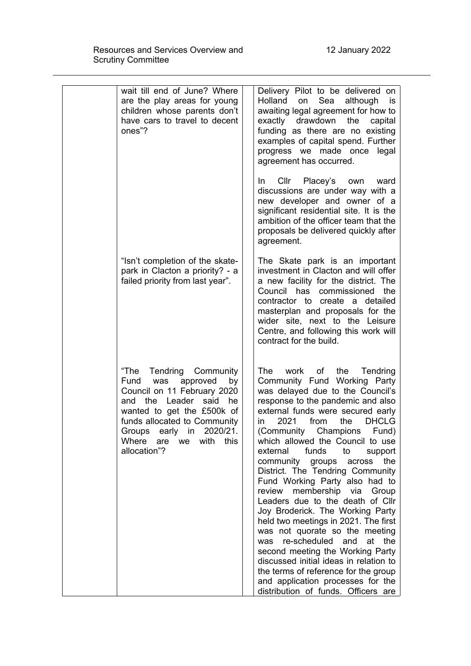| wait till end of June? Where<br>are the play areas for young<br>children whose parents don't<br>have cars to travel to decent<br>ones"?                                                                                                                                          | Delivery Pilot to be delivered on<br>Sea<br>Holland<br>although<br>on<br>is<br>awaiting legal agreement for how to<br>exactly<br>drawdown<br>the<br>capital<br>funding as there are no existing<br>examples of capital spend. Further<br>progress we made once legal<br>agreement has occurred.                                                                                                                                                                                                                                                                                                                                                                                                                                                                                                                                                                                               |
|----------------------------------------------------------------------------------------------------------------------------------------------------------------------------------------------------------------------------------------------------------------------------------|-----------------------------------------------------------------------------------------------------------------------------------------------------------------------------------------------------------------------------------------------------------------------------------------------------------------------------------------------------------------------------------------------------------------------------------------------------------------------------------------------------------------------------------------------------------------------------------------------------------------------------------------------------------------------------------------------------------------------------------------------------------------------------------------------------------------------------------------------------------------------------------------------|
|                                                                                                                                                                                                                                                                                  | Cllr Placey's own<br>In.<br>ward<br>discussions are under way with a<br>new developer and owner of a<br>significant residential site. It is the<br>ambition of the officer team that the<br>proposals be delivered quickly after<br>agreement.                                                                                                                                                                                                                                                                                                                                                                                                                                                                                                                                                                                                                                                |
| "Isn't completion of the skate-<br>park in Clacton a priority? - a<br>failed priority from last year".                                                                                                                                                                           | The Skate park is an important<br>investment in Clacton and will offer<br>a new facility for the district. The<br>Council has commissioned<br>the<br>contractor to create a detailed<br>masterplan and proposals for the<br>wider site, next to the Leisure<br>Centre, and following this work will<br>contract for the build.                                                                                                                                                                                                                                                                                                                                                                                                                                                                                                                                                                |
| "The<br>Tendring Community<br>Fund<br>was<br>approved<br>by<br>Council on 11 February 2020<br>and the Leader said<br>he<br>wanted to get the £500k of<br>funds allocated to Community<br>in<br>2020/21.<br>Groups<br>early<br>this<br>Where<br>with<br>are<br>we<br>allocation"? | The<br>work<br>of<br>the<br>Tendring<br>Community Fund Working Party<br>was delayed due to the Council's<br>response to the pandemic and also<br>external funds were secured early<br>the<br>2021<br>from<br><b>DHCLG</b><br>in.<br>Champions<br>(Community<br>Fund)<br>which allowed the Council to use<br>external<br>funds<br>to<br>support<br>community<br>groups<br>the<br>across<br>District. The Tendring Community<br>Fund Working Party also had to<br>membership via<br>review<br>Group<br>Leaders due to the death of Cllr<br>Joy Broderick. The Working Party<br>held two meetings in 2021. The first<br>was not quorate so the meeting<br>re-scheduled and<br>at<br>the<br>was<br>second meeting the Working Party<br>discussed initial ideas in relation to<br>the terms of reference for the group<br>and application processes for the<br>distribution of funds. Officers are |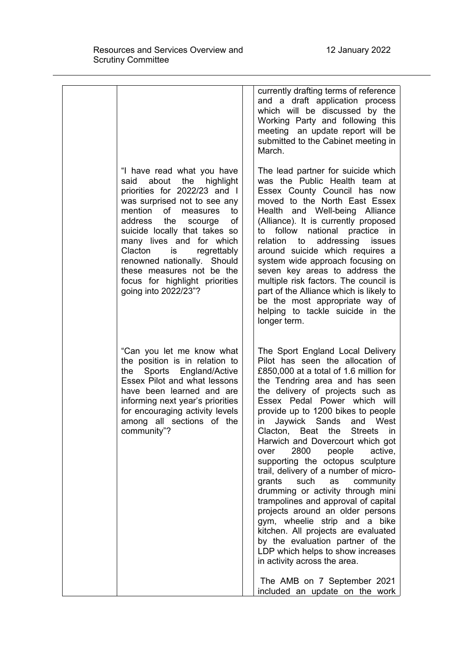| "I have read what you have<br>said about<br>the<br>highlight                                                                                                                                                                                                                                                                                       | currently drafting terms of reference<br>and a draft application process<br>which will be discussed by the<br>Working Party and following this<br>meeting an update report will be<br>submitted to the Cabinet meeting in<br>March.<br>The lead partner for suicide which<br>was the Public Health team at                                                                                                                                                                                                                                                                                                                                                                                                                                                                                                                                                                                                       |
|----------------------------------------------------------------------------------------------------------------------------------------------------------------------------------------------------------------------------------------------------------------------------------------------------------------------------------------------------|------------------------------------------------------------------------------------------------------------------------------------------------------------------------------------------------------------------------------------------------------------------------------------------------------------------------------------------------------------------------------------------------------------------------------------------------------------------------------------------------------------------------------------------------------------------------------------------------------------------------------------------------------------------------------------------------------------------------------------------------------------------------------------------------------------------------------------------------------------------------------------------------------------------|
| priorities for 2022/23 and I<br>was surprised not to see any<br>mention<br>of<br>measures<br>to<br>address the<br>οf<br>scourge<br>suicide locally that takes so<br>many lives and for which<br>Clacton<br>is<br>regrettably<br>renowned nationally. Should<br>these measures not be the<br>focus for highlight priorities<br>going into 2022/23"? | Essex County Council has now<br>moved to the North East Essex<br>Health and Well-being Alliance<br>(Alliance). It is currently proposed<br>follow national practice<br>to<br>in in<br>to addressing<br>relation<br>issues<br>around suicide which requires a<br>system wide approach focusing on<br>seven key areas to address the<br>multiple risk factors. The council is<br>part of the Alliance which is likely to<br>be the most appropriate way of<br>helping to tackle suicide in the<br>longer term.                                                                                                                                                                                                                                                                                                                                                                                                     |
| "Can you let me know what<br>the position is in relation to<br>Sports England/Active<br>the<br>Essex Pilot and what lessons<br>have been learned and are<br>informing next year's priorities<br>for encouraging activity levels<br>among all sections of the<br>community"?                                                                        | The Sport England Local Delivery<br>Pilot has seen the allocation of<br>£850,000 at a total of 1.6 million for<br>the Tendring area and has seen<br>the delivery of projects such as<br>Essex Pedal Power which will<br>provide up to 1200 bikes to people<br>Sands<br>Jaywick<br>and West<br>in<br>Clacton,<br>Beat<br><b>Streets</b><br>the<br>in<br>Harwich and Dovercourt which got<br>2800<br>people<br>active,<br>over<br>supporting the octopus sculpture<br>trail, delivery of a number of micro-<br>grants<br>such<br>community<br>as<br>drumming or activity through mini<br>trampolines and approval of capital<br>projects around an older persons<br>gym, wheelie strip and a bike<br>kitchen. All projects are evaluated<br>by the evaluation partner of the<br>LDP which helps to show increases<br>in activity across the area.<br>The AMB on 7 September 2021<br>included an update on the work |